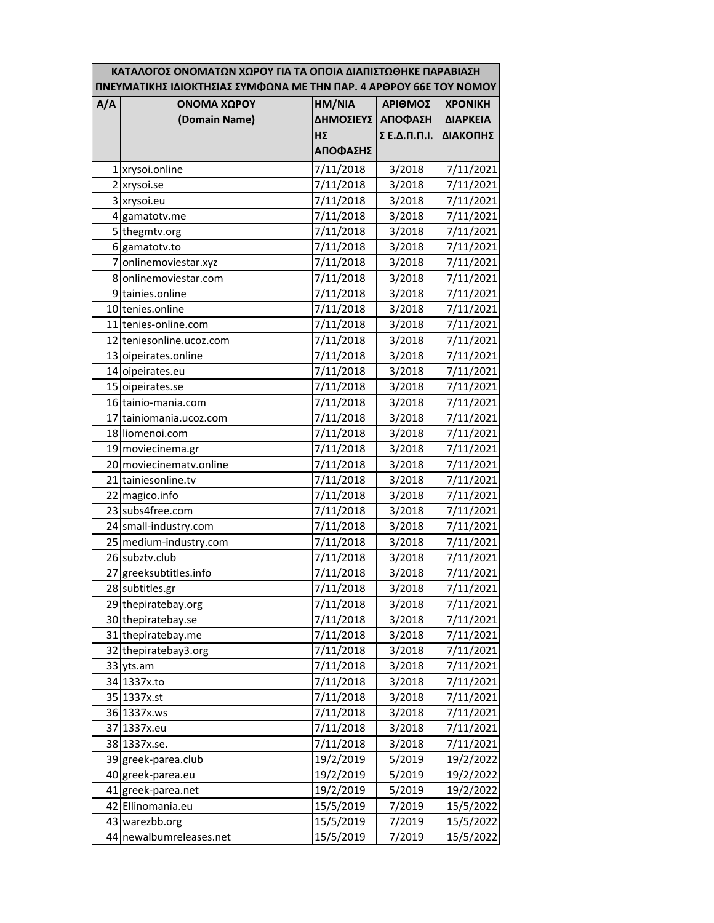|     | ΚΑΤΑΛΟΓΟΣ ΟΝΟΜΑΤΩΝ ΧΩΡΟΥ ΓΙΑ ΤΑ ΟΠΟΙΑ ΔΙΑΠΙΣΤΩΘΗΚΕ ΠΑΡΑΒΙΑΣΗ       |           |                    |                |  |  |
|-----|--------------------------------------------------------------------|-----------|--------------------|----------------|--|--|
|     | ΠΝΕΥΜΑΤΙΚΗΣ ΙΔΙΟΚΤΗΣΙΑΣ ΣΥΜΦΩΝΑ ΜΕ ΤΗΝ ΠΑΡ. 4 ΑΡΘΡΟΥ 66Ε ΤΟΥ ΝΟΜΟΥ |           |                    |                |  |  |
| A/A | ΟΝΟΜΑ ΧΩΡΟΥ                                                        | HM/NIA    | ΑΡΙΘΜΟΣ            | <b>XPONIKH</b> |  |  |
|     | (Domain Name)                                                      | ΔΗΜΟΣΙΕΥΣ | ΑΠΟΦΑΣΗ            | ΔΙΑΡΚΕΙΑ       |  |  |
|     |                                                                    | $H\Sigma$ | $Σ$ E. $Δ$ .Π.Π.Ι. | ΔΙΑΚΟΠΗΣ       |  |  |
|     |                                                                    | ΑΠΟΦΑΣΗΣ  |                    |                |  |  |
|     | 1 xrysoi.online                                                    | 7/11/2018 | 3/2018             | 7/11/2021      |  |  |
|     | 2 xrysoi.se                                                        | 7/11/2018 | 3/2018             | 7/11/2021      |  |  |
|     | 3 xrysoi.eu                                                        | 7/11/2018 | 3/2018             | 7/11/2021      |  |  |
|     | 4 gamatotv.me                                                      | 7/11/2018 | 3/2018             | 7/11/2021      |  |  |
|     | 5 thegmtv.org                                                      | 7/11/2018 | 3/2018             | 7/11/2021      |  |  |
|     | 6 gamatotv.to                                                      | 7/11/2018 | 3/2018             | 7/11/2021      |  |  |
|     | 7 onlinemoviestar.xyz                                              | 7/11/2018 | 3/2018             | 7/11/2021      |  |  |
|     | 8 onlinemoviestar.com                                              | 7/11/2018 | 3/2018             | 7/11/2021      |  |  |
|     | 9 tainies.online                                                   | 7/11/2018 | 3/2018             | 7/11/2021      |  |  |
|     | 10 tenies.online                                                   | 7/11/2018 | 3/2018             | 7/11/2021      |  |  |
|     | 11 tenies-online.com                                               | 7/11/2018 | 3/2018             | 7/11/2021      |  |  |
|     | 12 teniesonline.ucoz.com                                           | 7/11/2018 | 3/2018             | 7/11/2021      |  |  |
|     | 13 oipeirates.online                                               | 7/11/2018 | 3/2018             | 7/11/2021      |  |  |
|     | 14 oipeirates.eu                                                   | 7/11/2018 | 3/2018             | 7/11/2021      |  |  |
|     | 15 oipeirates.se                                                   | 7/11/2018 | 3/2018             | 7/11/2021      |  |  |
|     | 16 tainio-mania.com                                                | 7/11/2018 | 3/2018             | 7/11/2021      |  |  |
|     | 17 tainiomania.ucoz.com                                            | 7/11/2018 | 3/2018             | 7/11/2021      |  |  |
|     | 18 liomenoi.com                                                    | 7/11/2018 | 3/2018             | 7/11/2021      |  |  |
|     | 19 moviecinema.gr                                                  | 7/11/2018 | 3/2018             | 7/11/2021      |  |  |
|     | 20 moviecinematv.online                                            | 7/11/2018 | 3/2018             | 7/11/2021      |  |  |
|     | 21 tainiesonline.tv                                                | 7/11/2018 | 3/2018             | 7/11/2021      |  |  |
|     | 22 magico.info                                                     | 7/11/2018 | 3/2018             | 7/11/2021      |  |  |
|     | 23 subs4free.com                                                   | 7/11/2018 | 3/2018             | 7/11/2021      |  |  |
|     | 24 small-industry.com                                              | 7/11/2018 | 3/2018             | 7/11/2021      |  |  |
|     | 25 medium-industry.com                                             | 7/11/2018 | 3/2018             | 7/11/2021      |  |  |
|     | 26 subztv.club                                                     | 7/11/2018 | 3/2018             | 7/11/2021      |  |  |
|     | 27 greeksubtitles.info                                             | 7/11/2018 | 3/2018             | 7/11/2021      |  |  |
|     | 28 subtitles.gr                                                    | 7/11/2018 | 3/2018             | 7/11/2021      |  |  |
|     | 29 thepiratebay.org                                                | 7/11/2018 | 3/2018             | 7/11/2021      |  |  |
|     | 30 thepiratebay.se                                                 | 7/11/2018 | 3/2018             | 7/11/2021      |  |  |
|     | 31 thepiratebay.me                                                 | 7/11/2018 | 3/2018             | 7/11/2021      |  |  |
|     | 32 thepiratebay3.org                                               | 7/11/2018 | 3/2018             | 7/11/2021      |  |  |
|     | 33 yts.am                                                          | 7/11/2018 | 3/2018             | 7/11/2021      |  |  |
|     | 34 1337x.to                                                        | 7/11/2018 | 3/2018             | 7/11/2021      |  |  |
|     | 35 1337x.st                                                        | 7/11/2018 | 3/2018             | 7/11/2021      |  |  |
|     | 36 1337x.ws                                                        | 7/11/2018 | 3/2018             | 7/11/2021      |  |  |
|     | 37 1337x.eu                                                        | 7/11/2018 | 3/2018             | 7/11/2021      |  |  |
|     | 38 1337x.se.                                                       | 7/11/2018 | 3/2018             | 7/11/2021      |  |  |
|     | 39 greek-parea.club                                                | 19/2/2019 | 5/2019             | 19/2/2022      |  |  |
|     | 40 greek-parea.eu                                                  | 19/2/2019 | 5/2019             | 19/2/2022      |  |  |
|     | 41 greek-parea.net                                                 | 19/2/2019 | 5/2019             | 19/2/2022      |  |  |
|     | 42 Ellinomania.eu                                                  | 15/5/2019 | 7/2019             | 15/5/2022      |  |  |
|     | 43 warezbb.org                                                     | 15/5/2019 | 7/2019             | 15/5/2022      |  |  |
|     | 44 newalbumreleases.net                                            | 15/5/2019 | 7/2019             | 15/5/2022      |  |  |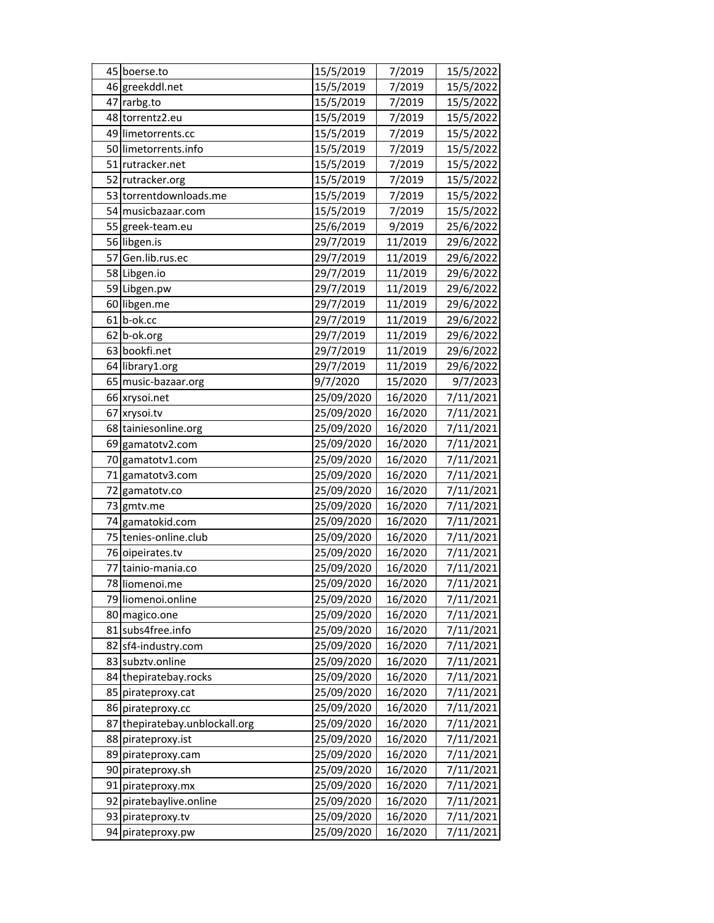| 15/5/2019<br>15/5/2022<br>46 greekddl.net<br>7/2019<br>15/5/2019<br>7/2019<br>15/5/2022<br>47 rarbg.to<br>15/5/2019<br>48 torrentz2.eu<br>7/2019<br>15/5/2022<br>15/5/2019<br>49 limetorrents.cc<br>7/2019<br>15/5/2022<br>50 limetorrents.info<br>15/5/2019<br>7/2019<br>15/5/2022<br>51 rutracker.net<br>15/5/2019<br>7/2019<br>15/5/2022<br>15/5/2019<br>7/2019<br>15/5/2022<br>52 rutracker.org<br>53 torrentdownloads.me<br>15/5/2019<br>15/5/2022<br>7/2019<br>15/5/2019<br>54 musicbazaar.com<br>7/2019<br>15/5/2022<br>25/6/2019<br>55 greek-team.eu<br>9/2019<br>25/6/2022<br>56 libgen.is<br>29/7/2019<br>11/2019<br>29/6/2022<br>57<br>Gen.lib.rus.ec<br>29/7/2019<br>11/2019<br>29/6/2022<br>58 Libgen.io<br>29/7/2019<br>11/2019<br>29/6/2022<br>59 Libgen.pw<br>11/2019<br>29/7/2019<br>29/6/2022<br>29/7/2019<br>11/2019<br>29/6/2022<br>60 libgen.me<br>61 b-ok.cc<br>29/7/2019<br>11/2019<br>29/6/2022<br>11/2019<br>29/6/2022<br>62 b-ok.org<br>29/7/2019<br>63 bookfi.net<br>29/7/2019<br>11/2019<br>29/6/2022<br>64 library1.org<br>29/7/2019<br>11/2019<br>29/6/2022<br>65 music-bazaar.org<br>9/7/2020<br>15/2020<br>9/7/2023<br>25/09/2020<br>7/11/2021<br>66 xrysoi.net<br>16/2020<br>25/09/2020<br>67 xrysoi.tv<br>16/2020<br>7/11/2021<br>25/09/2020<br>16/2020<br>7/11/2021<br>68 tainiesonline.org<br>25/09/2020<br>16/2020<br>7/11/2021<br>69 gamatotv2.com<br>25/09/2020<br>16/2020<br>7/11/2021<br>70 gamatotv1.com<br>25/09/2020<br>16/2020<br>7/11/2021<br>71 gamatotv3.com<br>25/09/2020<br>16/2020<br>7/11/2021<br>72 gamatotv.co<br>25/09/2020<br>7/11/2021<br>16/2020<br>73 gmtv.me<br>25/09/2020<br>7/11/2021<br>74 gamatokid.com<br>16/2020<br>75 tenies-online.club<br>25/09/2020<br>7/11/2021<br>16/2020<br>25/09/2020<br>7/11/2021<br>16/2020<br>76 oipeirates.tv<br>25/09/2020<br>16/2020<br>7/11/2021<br>tainio-mania.co<br>77<br>78 liomenoi.me<br>25/09/2020<br>7/11/2021<br>16/2020<br>25/09/2020<br>7/11/2021<br>79 liomenoi.online<br>16/2020<br>25/09/2020<br>7/11/2021<br>16/2020<br>80 magico.one<br>81 subs4free.info<br>25/09/2020<br>16/2020<br>7/11/2021<br>82 sf4-industry.com<br>25/09/2020<br>16/2020<br>7/11/2021<br>25/09/2020<br>83 subztv.online<br>16/2020<br>7/11/2021<br>25/09/2020<br>16/2020<br>84 thepiratebay.rocks<br>7/11/2021<br>25/09/2020<br>16/2020<br>7/11/2021<br>85 pirateproxy.cat<br>25/09/2020<br>16/2020<br>86 pirateproxy.cc<br>7/11/2021<br>25/09/2020<br>16/2020<br>7/11/2021<br>87 thepiratebay.unblockall.org<br>25/09/2020<br>16/2020<br>7/11/2021<br>88 pirateproxy.ist<br>25/09/2020<br>16/2020<br>7/11/2021<br>89 pirateproxy.cam<br>25/09/2020<br>16/2020<br>7/11/2021<br>90 pirateproxy.sh<br>25/09/2020<br>16/2020<br>7/11/2021<br>91<br>pirateproxy.mx<br>25/09/2020<br>7/11/2021<br>92<br>piratebaylive.online<br>16/2020<br>25/09/2020<br>16/2020<br>7/11/2021<br>93<br>pirateproxy.tv<br>25/09/2020<br>pirateproxy.pw<br>16/2020<br>7/11/2021<br>94 | 45 boerse.to | 15/5/2019 | 7/2019 | 15/5/2022 |
|--------------------------------------------------------------------------------------------------------------------------------------------------------------------------------------------------------------------------------------------------------------------------------------------------------------------------------------------------------------------------------------------------------------------------------------------------------------------------------------------------------------------------------------------------------------------------------------------------------------------------------------------------------------------------------------------------------------------------------------------------------------------------------------------------------------------------------------------------------------------------------------------------------------------------------------------------------------------------------------------------------------------------------------------------------------------------------------------------------------------------------------------------------------------------------------------------------------------------------------------------------------------------------------------------------------------------------------------------------------------------------------------------------------------------------------------------------------------------------------------------------------------------------------------------------------------------------------------------------------------------------------------------------------------------------------------------------------------------------------------------------------------------------------------------------------------------------------------------------------------------------------------------------------------------------------------------------------------------------------------------------------------------------------------------------------------------------------------------------------------------------------------------------------------------------------------------------------------------------------------------------------------------------------------------------------------------------------------------------------------------------------------------------------------------------------------------------------------------------------------------------------------------------------------------------------------------------------------------------------------------------------------------------------------------------------------------------------------------------------------------------------------------------------------------------------------------------------------------------------------------------------------------------------------------------------------------------|--------------|-----------|--------|-----------|
|                                                                                                                                                                                                                                                                                                                                                                                                                                                                                                                                                                                                                                                                                                                                                                                                                                                                                                                                                                                                                                                                                                                                                                                                                                                                                                                                                                                                                                                                                                                                                                                                                                                                                                                                                                                                                                                                                                                                                                                                                                                                                                                                                                                                                                                                                                                                                                                                                                                                                                                                                                                                                                                                                                                                                                                                                                                                                                                                                        |              |           |        |           |
|                                                                                                                                                                                                                                                                                                                                                                                                                                                                                                                                                                                                                                                                                                                                                                                                                                                                                                                                                                                                                                                                                                                                                                                                                                                                                                                                                                                                                                                                                                                                                                                                                                                                                                                                                                                                                                                                                                                                                                                                                                                                                                                                                                                                                                                                                                                                                                                                                                                                                                                                                                                                                                                                                                                                                                                                                                                                                                                                                        |              |           |        |           |
|                                                                                                                                                                                                                                                                                                                                                                                                                                                                                                                                                                                                                                                                                                                                                                                                                                                                                                                                                                                                                                                                                                                                                                                                                                                                                                                                                                                                                                                                                                                                                                                                                                                                                                                                                                                                                                                                                                                                                                                                                                                                                                                                                                                                                                                                                                                                                                                                                                                                                                                                                                                                                                                                                                                                                                                                                                                                                                                                                        |              |           |        |           |
|                                                                                                                                                                                                                                                                                                                                                                                                                                                                                                                                                                                                                                                                                                                                                                                                                                                                                                                                                                                                                                                                                                                                                                                                                                                                                                                                                                                                                                                                                                                                                                                                                                                                                                                                                                                                                                                                                                                                                                                                                                                                                                                                                                                                                                                                                                                                                                                                                                                                                                                                                                                                                                                                                                                                                                                                                                                                                                                                                        |              |           |        |           |
|                                                                                                                                                                                                                                                                                                                                                                                                                                                                                                                                                                                                                                                                                                                                                                                                                                                                                                                                                                                                                                                                                                                                                                                                                                                                                                                                                                                                                                                                                                                                                                                                                                                                                                                                                                                                                                                                                                                                                                                                                                                                                                                                                                                                                                                                                                                                                                                                                                                                                                                                                                                                                                                                                                                                                                                                                                                                                                                                                        |              |           |        |           |
|                                                                                                                                                                                                                                                                                                                                                                                                                                                                                                                                                                                                                                                                                                                                                                                                                                                                                                                                                                                                                                                                                                                                                                                                                                                                                                                                                                                                                                                                                                                                                                                                                                                                                                                                                                                                                                                                                                                                                                                                                                                                                                                                                                                                                                                                                                                                                                                                                                                                                                                                                                                                                                                                                                                                                                                                                                                                                                                                                        |              |           |        |           |
|                                                                                                                                                                                                                                                                                                                                                                                                                                                                                                                                                                                                                                                                                                                                                                                                                                                                                                                                                                                                                                                                                                                                                                                                                                                                                                                                                                                                                                                                                                                                                                                                                                                                                                                                                                                                                                                                                                                                                                                                                                                                                                                                                                                                                                                                                                                                                                                                                                                                                                                                                                                                                                                                                                                                                                                                                                                                                                                                                        |              |           |        |           |
|                                                                                                                                                                                                                                                                                                                                                                                                                                                                                                                                                                                                                                                                                                                                                                                                                                                                                                                                                                                                                                                                                                                                                                                                                                                                                                                                                                                                                                                                                                                                                                                                                                                                                                                                                                                                                                                                                                                                                                                                                                                                                                                                                                                                                                                                                                                                                                                                                                                                                                                                                                                                                                                                                                                                                                                                                                                                                                                                                        |              |           |        |           |
|                                                                                                                                                                                                                                                                                                                                                                                                                                                                                                                                                                                                                                                                                                                                                                                                                                                                                                                                                                                                                                                                                                                                                                                                                                                                                                                                                                                                                                                                                                                                                                                                                                                                                                                                                                                                                                                                                                                                                                                                                                                                                                                                                                                                                                                                                                                                                                                                                                                                                                                                                                                                                                                                                                                                                                                                                                                                                                                                                        |              |           |        |           |
|                                                                                                                                                                                                                                                                                                                                                                                                                                                                                                                                                                                                                                                                                                                                                                                                                                                                                                                                                                                                                                                                                                                                                                                                                                                                                                                                                                                                                                                                                                                                                                                                                                                                                                                                                                                                                                                                                                                                                                                                                                                                                                                                                                                                                                                                                                                                                                                                                                                                                                                                                                                                                                                                                                                                                                                                                                                                                                                                                        |              |           |        |           |
|                                                                                                                                                                                                                                                                                                                                                                                                                                                                                                                                                                                                                                                                                                                                                                                                                                                                                                                                                                                                                                                                                                                                                                                                                                                                                                                                                                                                                                                                                                                                                                                                                                                                                                                                                                                                                                                                                                                                                                                                                                                                                                                                                                                                                                                                                                                                                                                                                                                                                                                                                                                                                                                                                                                                                                                                                                                                                                                                                        |              |           |        |           |
|                                                                                                                                                                                                                                                                                                                                                                                                                                                                                                                                                                                                                                                                                                                                                                                                                                                                                                                                                                                                                                                                                                                                                                                                                                                                                                                                                                                                                                                                                                                                                                                                                                                                                                                                                                                                                                                                                                                                                                                                                                                                                                                                                                                                                                                                                                                                                                                                                                                                                                                                                                                                                                                                                                                                                                                                                                                                                                                                                        |              |           |        |           |
|                                                                                                                                                                                                                                                                                                                                                                                                                                                                                                                                                                                                                                                                                                                                                                                                                                                                                                                                                                                                                                                                                                                                                                                                                                                                                                                                                                                                                                                                                                                                                                                                                                                                                                                                                                                                                                                                                                                                                                                                                                                                                                                                                                                                                                                                                                                                                                                                                                                                                                                                                                                                                                                                                                                                                                                                                                                                                                                                                        |              |           |        |           |
|                                                                                                                                                                                                                                                                                                                                                                                                                                                                                                                                                                                                                                                                                                                                                                                                                                                                                                                                                                                                                                                                                                                                                                                                                                                                                                                                                                                                                                                                                                                                                                                                                                                                                                                                                                                                                                                                                                                                                                                                                                                                                                                                                                                                                                                                                                                                                                                                                                                                                                                                                                                                                                                                                                                                                                                                                                                                                                                                                        |              |           |        |           |
|                                                                                                                                                                                                                                                                                                                                                                                                                                                                                                                                                                                                                                                                                                                                                                                                                                                                                                                                                                                                                                                                                                                                                                                                                                                                                                                                                                                                                                                                                                                                                                                                                                                                                                                                                                                                                                                                                                                                                                                                                                                                                                                                                                                                                                                                                                                                                                                                                                                                                                                                                                                                                                                                                                                                                                                                                                                                                                                                                        |              |           |        |           |
|                                                                                                                                                                                                                                                                                                                                                                                                                                                                                                                                                                                                                                                                                                                                                                                                                                                                                                                                                                                                                                                                                                                                                                                                                                                                                                                                                                                                                                                                                                                                                                                                                                                                                                                                                                                                                                                                                                                                                                                                                                                                                                                                                                                                                                                                                                                                                                                                                                                                                                                                                                                                                                                                                                                                                                                                                                                                                                                                                        |              |           |        |           |
|                                                                                                                                                                                                                                                                                                                                                                                                                                                                                                                                                                                                                                                                                                                                                                                                                                                                                                                                                                                                                                                                                                                                                                                                                                                                                                                                                                                                                                                                                                                                                                                                                                                                                                                                                                                                                                                                                                                                                                                                                                                                                                                                                                                                                                                                                                                                                                                                                                                                                                                                                                                                                                                                                                                                                                                                                                                                                                                                                        |              |           |        |           |
|                                                                                                                                                                                                                                                                                                                                                                                                                                                                                                                                                                                                                                                                                                                                                                                                                                                                                                                                                                                                                                                                                                                                                                                                                                                                                                                                                                                                                                                                                                                                                                                                                                                                                                                                                                                                                                                                                                                                                                                                                                                                                                                                                                                                                                                                                                                                                                                                                                                                                                                                                                                                                                                                                                                                                                                                                                                                                                                                                        |              |           |        |           |
|                                                                                                                                                                                                                                                                                                                                                                                                                                                                                                                                                                                                                                                                                                                                                                                                                                                                                                                                                                                                                                                                                                                                                                                                                                                                                                                                                                                                                                                                                                                                                                                                                                                                                                                                                                                                                                                                                                                                                                                                                                                                                                                                                                                                                                                                                                                                                                                                                                                                                                                                                                                                                                                                                                                                                                                                                                                                                                                                                        |              |           |        |           |
|                                                                                                                                                                                                                                                                                                                                                                                                                                                                                                                                                                                                                                                                                                                                                                                                                                                                                                                                                                                                                                                                                                                                                                                                                                                                                                                                                                                                                                                                                                                                                                                                                                                                                                                                                                                                                                                                                                                                                                                                                                                                                                                                                                                                                                                                                                                                                                                                                                                                                                                                                                                                                                                                                                                                                                                                                                                                                                                                                        |              |           |        |           |
|                                                                                                                                                                                                                                                                                                                                                                                                                                                                                                                                                                                                                                                                                                                                                                                                                                                                                                                                                                                                                                                                                                                                                                                                                                                                                                                                                                                                                                                                                                                                                                                                                                                                                                                                                                                                                                                                                                                                                                                                                                                                                                                                                                                                                                                                                                                                                                                                                                                                                                                                                                                                                                                                                                                                                                                                                                                                                                                                                        |              |           |        |           |
|                                                                                                                                                                                                                                                                                                                                                                                                                                                                                                                                                                                                                                                                                                                                                                                                                                                                                                                                                                                                                                                                                                                                                                                                                                                                                                                                                                                                                                                                                                                                                                                                                                                                                                                                                                                                                                                                                                                                                                                                                                                                                                                                                                                                                                                                                                                                                                                                                                                                                                                                                                                                                                                                                                                                                                                                                                                                                                                                                        |              |           |        |           |
|                                                                                                                                                                                                                                                                                                                                                                                                                                                                                                                                                                                                                                                                                                                                                                                                                                                                                                                                                                                                                                                                                                                                                                                                                                                                                                                                                                                                                                                                                                                                                                                                                                                                                                                                                                                                                                                                                                                                                                                                                                                                                                                                                                                                                                                                                                                                                                                                                                                                                                                                                                                                                                                                                                                                                                                                                                                                                                                                                        |              |           |        |           |
|                                                                                                                                                                                                                                                                                                                                                                                                                                                                                                                                                                                                                                                                                                                                                                                                                                                                                                                                                                                                                                                                                                                                                                                                                                                                                                                                                                                                                                                                                                                                                                                                                                                                                                                                                                                                                                                                                                                                                                                                                                                                                                                                                                                                                                                                                                                                                                                                                                                                                                                                                                                                                                                                                                                                                                                                                                                                                                                                                        |              |           |        |           |
|                                                                                                                                                                                                                                                                                                                                                                                                                                                                                                                                                                                                                                                                                                                                                                                                                                                                                                                                                                                                                                                                                                                                                                                                                                                                                                                                                                                                                                                                                                                                                                                                                                                                                                                                                                                                                                                                                                                                                                                                                                                                                                                                                                                                                                                                                                                                                                                                                                                                                                                                                                                                                                                                                                                                                                                                                                                                                                                                                        |              |           |        |           |
|                                                                                                                                                                                                                                                                                                                                                                                                                                                                                                                                                                                                                                                                                                                                                                                                                                                                                                                                                                                                                                                                                                                                                                                                                                                                                                                                                                                                                                                                                                                                                                                                                                                                                                                                                                                                                                                                                                                                                                                                                                                                                                                                                                                                                                                                                                                                                                                                                                                                                                                                                                                                                                                                                                                                                                                                                                                                                                                                                        |              |           |        |           |
|                                                                                                                                                                                                                                                                                                                                                                                                                                                                                                                                                                                                                                                                                                                                                                                                                                                                                                                                                                                                                                                                                                                                                                                                                                                                                                                                                                                                                                                                                                                                                                                                                                                                                                                                                                                                                                                                                                                                                                                                                                                                                                                                                                                                                                                                                                                                                                                                                                                                                                                                                                                                                                                                                                                                                                                                                                                                                                                                                        |              |           |        |           |
|                                                                                                                                                                                                                                                                                                                                                                                                                                                                                                                                                                                                                                                                                                                                                                                                                                                                                                                                                                                                                                                                                                                                                                                                                                                                                                                                                                                                                                                                                                                                                                                                                                                                                                                                                                                                                                                                                                                                                                                                                                                                                                                                                                                                                                                                                                                                                                                                                                                                                                                                                                                                                                                                                                                                                                                                                                                                                                                                                        |              |           |        |           |
|                                                                                                                                                                                                                                                                                                                                                                                                                                                                                                                                                                                                                                                                                                                                                                                                                                                                                                                                                                                                                                                                                                                                                                                                                                                                                                                                                                                                                                                                                                                                                                                                                                                                                                                                                                                                                                                                                                                                                                                                                                                                                                                                                                                                                                                                                                                                                                                                                                                                                                                                                                                                                                                                                                                                                                                                                                                                                                                                                        |              |           |        |           |
|                                                                                                                                                                                                                                                                                                                                                                                                                                                                                                                                                                                                                                                                                                                                                                                                                                                                                                                                                                                                                                                                                                                                                                                                                                                                                                                                                                                                                                                                                                                                                                                                                                                                                                                                                                                                                                                                                                                                                                                                                                                                                                                                                                                                                                                                                                                                                                                                                                                                                                                                                                                                                                                                                                                                                                                                                                                                                                                                                        |              |           |        |           |
|                                                                                                                                                                                                                                                                                                                                                                                                                                                                                                                                                                                                                                                                                                                                                                                                                                                                                                                                                                                                                                                                                                                                                                                                                                                                                                                                                                                                                                                                                                                                                                                                                                                                                                                                                                                                                                                                                                                                                                                                                                                                                                                                                                                                                                                                                                                                                                                                                                                                                                                                                                                                                                                                                                                                                                                                                                                                                                                                                        |              |           |        |           |
|                                                                                                                                                                                                                                                                                                                                                                                                                                                                                                                                                                                                                                                                                                                                                                                                                                                                                                                                                                                                                                                                                                                                                                                                                                                                                                                                                                                                                                                                                                                                                                                                                                                                                                                                                                                                                                                                                                                                                                                                                                                                                                                                                                                                                                                                                                                                                                                                                                                                                                                                                                                                                                                                                                                                                                                                                                                                                                                                                        |              |           |        |           |
|                                                                                                                                                                                                                                                                                                                                                                                                                                                                                                                                                                                                                                                                                                                                                                                                                                                                                                                                                                                                                                                                                                                                                                                                                                                                                                                                                                                                                                                                                                                                                                                                                                                                                                                                                                                                                                                                                                                                                                                                                                                                                                                                                                                                                                                                                                                                                                                                                                                                                                                                                                                                                                                                                                                                                                                                                                                                                                                                                        |              |           |        |           |
|                                                                                                                                                                                                                                                                                                                                                                                                                                                                                                                                                                                                                                                                                                                                                                                                                                                                                                                                                                                                                                                                                                                                                                                                                                                                                                                                                                                                                                                                                                                                                                                                                                                                                                                                                                                                                                                                                                                                                                                                                                                                                                                                                                                                                                                                                                                                                                                                                                                                                                                                                                                                                                                                                                                                                                                                                                                                                                                                                        |              |           |        |           |
|                                                                                                                                                                                                                                                                                                                                                                                                                                                                                                                                                                                                                                                                                                                                                                                                                                                                                                                                                                                                                                                                                                                                                                                                                                                                                                                                                                                                                                                                                                                                                                                                                                                                                                                                                                                                                                                                                                                                                                                                                                                                                                                                                                                                                                                                                                                                                                                                                                                                                                                                                                                                                                                                                                                                                                                                                                                                                                                                                        |              |           |        |           |
|                                                                                                                                                                                                                                                                                                                                                                                                                                                                                                                                                                                                                                                                                                                                                                                                                                                                                                                                                                                                                                                                                                                                                                                                                                                                                                                                                                                                                                                                                                                                                                                                                                                                                                                                                                                                                                                                                                                                                                                                                                                                                                                                                                                                                                                                                                                                                                                                                                                                                                                                                                                                                                                                                                                                                                                                                                                                                                                                                        |              |           |        |           |
|                                                                                                                                                                                                                                                                                                                                                                                                                                                                                                                                                                                                                                                                                                                                                                                                                                                                                                                                                                                                                                                                                                                                                                                                                                                                                                                                                                                                                                                                                                                                                                                                                                                                                                                                                                                                                                                                                                                                                                                                                                                                                                                                                                                                                                                                                                                                                                                                                                                                                                                                                                                                                                                                                                                                                                                                                                                                                                                                                        |              |           |        |           |
|                                                                                                                                                                                                                                                                                                                                                                                                                                                                                                                                                                                                                                                                                                                                                                                                                                                                                                                                                                                                                                                                                                                                                                                                                                                                                                                                                                                                                                                                                                                                                                                                                                                                                                                                                                                                                                                                                                                                                                                                                                                                                                                                                                                                                                                                                                                                                                                                                                                                                                                                                                                                                                                                                                                                                                                                                                                                                                                                                        |              |           |        |           |
|                                                                                                                                                                                                                                                                                                                                                                                                                                                                                                                                                                                                                                                                                                                                                                                                                                                                                                                                                                                                                                                                                                                                                                                                                                                                                                                                                                                                                                                                                                                                                                                                                                                                                                                                                                                                                                                                                                                                                                                                                                                                                                                                                                                                                                                                                                                                                                                                                                                                                                                                                                                                                                                                                                                                                                                                                                                                                                                                                        |              |           |        |           |
|                                                                                                                                                                                                                                                                                                                                                                                                                                                                                                                                                                                                                                                                                                                                                                                                                                                                                                                                                                                                                                                                                                                                                                                                                                                                                                                                                                                                                                                                                                                                                                                                                                                                                                                                                                                                                                                                                                                                                                                                                                                                                                                                                                                                                                                                                                                                                                                                                                                                                                                                                                                                                                                                                                                                                                                                                                                                                                                                                        |              |           |        |           |
|                                                                                                                                                                                                                                                                                                                                                                                                                                                                                                                                                                                                                                                                                                                                                                                                                                                                                                                                                                                                                                                                                                                                                                                                                                                                                                                                                                                                                                                                                                                                                                                                                                                                                                                                                                                                                                                                                                                                                                                                                                                                                                                                                                                                                                                                                                                                                                                                                                                                                                                                                                                                                                                                                                                                                                                                                                                                                                                                                        |              |           |        |           |
|                                                                                                                                                                                                                                                                                                                                                                                                                                                                                                                                                                                                                                                                                                                                                                                                                                                                                                                                                                                                                                                                                                                                                                                                                                                                                                                                                                                                                                                                                                                                                                                                                                                                                                                                                                                                                                                                                                                                                                                                                                                                                                                                                                                                                                                                                                                                                                                                                                                                                                                                                                                                                                                                                                                                                                                                                                                                                                                                                        |              |           |        |           |
|                                                                                                                                                                                                                                                                                                                                                                                                                                                                                                                                                                                                                                                                                                                                                                                                                                                                                                                                                                                                                                                                                                                                                                                                                                                                                                                                                                                                                                                                                                                                                                                                                                                                                                                                                                                                                                                                                                                                                                                                                                                                                                                                                                                                                                                                                                                                                                                                                                                                                                                                                                                                                                                                                                                                                                                                                                                                                                                                                        |              |           |        |           |
|                                                                                                                                                                                                                                                                                                                                                                                                                                                                                                                                                                                                                                                                                                                                                                                                                                                                                                                                                                                                                                                                                                                                                                                                                                                                                                                                                                                                                                                                                                                                                                                                                                                                                                                                                                                                                                                                                                                                                                                                                                                                                                                                                                                                                                                                                                                                                                                                                                                                                                                                                                                                                                                                                                                                                                                                                                                                                                                                                        |              |           |        |           |
|                                                                                                                                                                                                                                                                                                                                                                                                                                                                                                                                                                                                                                                                                                                                                                                                                                                                                                                                                                                                                                                                                                                                                                                                                                                                                                                                                                                                                                                                                                                                                                                                                                                                                                                                                                                                                                                                                                                                                                                                                                                                                                                                                                                                                                                                                                                                                                                                                                                                                                                                                                                                                                                                                                                                                                                                                                                                                                                                                        |              |           |        |           |
|                                                                                                                                                                                                                                                                                                                                                                                                                                                                                                                                                                                                                                                                                                                                                                                                                                                                                                                                                                                                                                                                                                                                                                                                                                                                                                                                                                                                                                                                                                                                                                                                                                                                                                                                                                                                                                                                                                                                                                                                                                                                                                                                                                                                                                                                                                                                                                                                                                                                                                                                                                                                                                                                                                                                                                                                                                                                                                                                                        |              |           |        |           |
|                                                                                                                                                                                                                                                                                                                                                                                                                                                                                                                                                                                                                                                                                                                                                                                                                                                                                                                                                                                                                                                                                                                                                                                                                                                                                                                                                                                                                                                                                                                                                                                                                                                                                                                                                                                                                                                                                                                                                                                                                                                                                                                                                                                                                                                                                                                                                                                                                                                                                                                                                                                                                                                                                                                                                                                                                                                                                                                                                        |              |           |        |           |
|                                                                                                                                                                                                                                                                                                                                                                                                                                                                                                                                                                                                                                                                                                                                                                                                                                                                                                                                                                                                                                                                                                                                                                                                                                                                                                                                                                                                                                                                                                                                                                                                                                                                                                                                                                                                                                                                                                                                                                                                                                                                                                                                                                                                                                                                                                                                                                                                                                                                                                                                                                                                                                                                                                                                                                                                                                                                                                                                                        |              |           |        |           |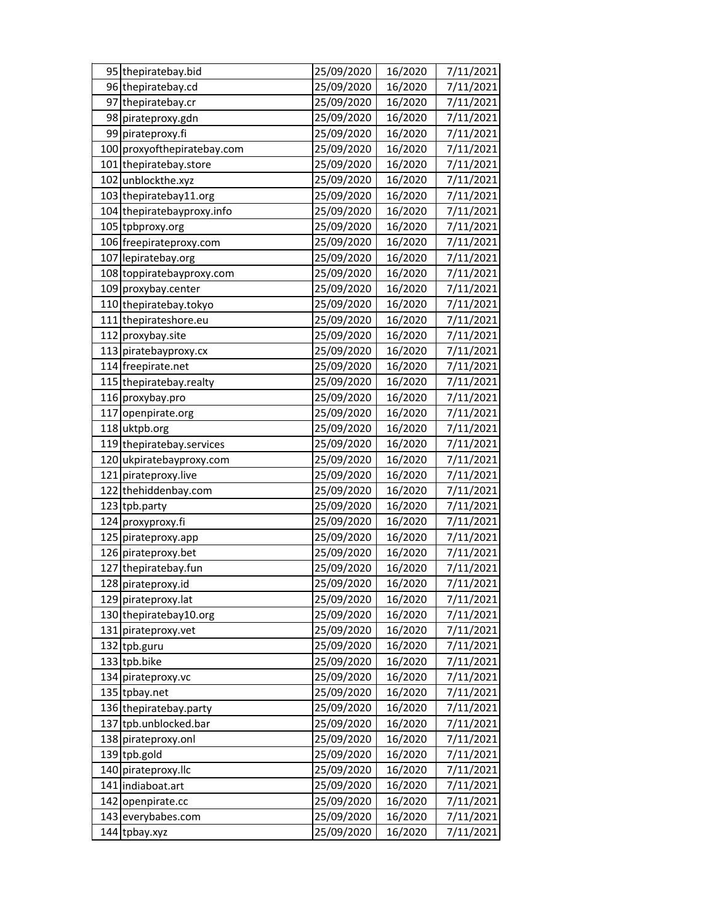|     | 95 thepiratebay.bid         | 25/09/2020 | 16/2020 | 7/11/2021 |
|-----|-----------------------------|------------|---------|-----------|
|     | 96 thepiratebay.cd          | 25/09/2020 | 16/2020 | 7/11/2021 |
|     | 97 thepiratebay.cr          | 25/09/2020 | 16/2020 | 7/11/2021 |
|     | 98 pirateproxy.gdn          | 25/09/2020 | 16/2020 | 7/11/2021 |
| 99  | pirateproxy.fi              | 25/09/2020 | 16/2020 | 7/11/2021 |
|     | 100 proxyofthepiratebay.com | 25/09/2020 | 16/2020 | 7/11/2021 |
|     | 101 thepiratebay.store      | 25/09/2020 | 16/2020 | 7/11/2021 |
| 102 | unblockthe.xyz              | 25/09/2020 | 16/2020 | 7/11/2021 |
|     | 103 thepiratebay11.org      | 25/09/2020 | 16/2020 | 7/11/2021 |
|     | 104 thepiratebayproxy.info  | 25/09/2020 | 16/2020 | 7/11/2021 |
|     | 105 tpbproxy.org            | 25/09/2020 | 16/2020 | 7/11/2021 |
|     | 106 freepirateproxy.com     | 25/09/2020 | 16/2020 | 7/11/2021 |
|     | 107 lepiratebay.org         | 25/09/2020 | 16/2020 | 7/11/2021 |
|     | 108 toppiratebayproxy.com   | 25/09/2020 | 16/2020 | 7/11/2021 |
|     | 109 proxybay.center         | 25/09/2020 | 16/2020 | 7/11/2021 |
|     | 110 thepiratebay.tokyo      | 25/09/2020 | 16/2020 | 7/11/2021 |
|     | 111 thepirateshore.eu       | 25/09/2020 | 16/2020 | 7/11/2021 |
|     | 112 proxybay.site           | 25/09/2020 | 16/2020 | 7/11/2021 |
|     | 113 piratebayproxy.cx       | 25/09/2020 | 16/2020 | 7/11/2021 |
|     | 114 freepirate.net          | 25/09/2020 | 16/2020 | 7/11/2021 |
|     | 115 thepiratebay.realty     | 25/09/2020 | 16/2020 | 7/11/2021 |
|     | 116 proxybay.pro            | 25/09/2020 | 16/2020 | 7/11/2021 |
| 117 | openpirate.org              | 25/09/2020 | 16/2020 | 7/11/2021 |
|     | 118 uktpb.org               | 25/09/2020 | 16/2020 | 7/11/2021 |
|     | 119 thepiratebay.services   | 25/09/2020 | 16/2020 | 7/11/2021 |
|     | 120 ukpiratebayproxy.com    | 25/09/2020 | 16/2020 | 7/11/2021 |
| 121 | pirateproxy.live            | 25/09/2020 | 16/2020 | 7/11/2021 |
|     | 122 the hiddenbay.com       | 25/09/2020 | 16/2020 | 7/11/2021 |
|     | 123 tpb.party               | 25/09/2020 | 16/2020 | 7/11/2021 |
|     | 124 proxyproxy.fi           | 25/09/2020 | 16/2020 | 7/11/2021 |
|     | 125 pirateproxy.app         | 25/09/2020 | 16/2020 | 7/11/2021 |
|     | 126 pirateproxy.bet         | 25/09/2020 | 16/2020 | 7/11/2021 |
|     | 127 thepiratebay.fun        | 25/09/2020 | 16/2020 | 7/11/2021 |
|     | 128 pirateproxy.id          | 25/09/2020 | 16/2020 | 7/11/2021 |
|     | 129 pirateproxy.lat         | 25/09/2020 | 16/2020 | 7/11/2021 |
|     | 130 thepiratebay10.org      | 25/09/2020 | 16/2020 | 7/11/2021 |
| 131 | pirateproxy.vet             | 25/09/2020 | 16/2020 | 7/11/2021 |
|     | 132 tpb.guru                | 25/09/2020 | 16/2020 | 7/11/2021 |
|     | 133 tpb.bike                | 25/09/2020 | 16/2020 | 7/11/2021 |
|     | 134 pirateproxy.vc          | 25/09/2020 | 16/2020 | 7/11/2021 |
|     | 135 tpbay.net               | 25/09/2020 | 16/2020 | 7/11/2021 |
|     | 136 thepiratebay.party      | 25/09/2020 | 16/2020 | 7/11/2021 |
|     | 137 tpb.unblocked.bar       | 25/09/2020 | 16/2020 | 7/11/2021 |
|     | 138 pirateproxy.onl         | 25/09/2020 | 16/2020 | 7/11/2021 |
|     | 139 tpb.gold                | 25/09/2020 | 16/2020 | 7/11/2021 |
|     | 140 pirateproxy.llc         | 25/09/2020 | 16/2020 | 7/11/2021 |
|     | 141 indiaboat.art           | 25/09/2020 | 16/2020 | 7/11/2021 |
| 142 | openpirate.cc               | 25/09/2020 | 16/2020 | 7/11/2021 |
| 143 | everybabes.com              | 25/09/2020 | 16/2020 | 7/11/2021 |
|     | 144 tpbay.xyz               | 25/09/2020 | 16/2020 | 7/11/2021 |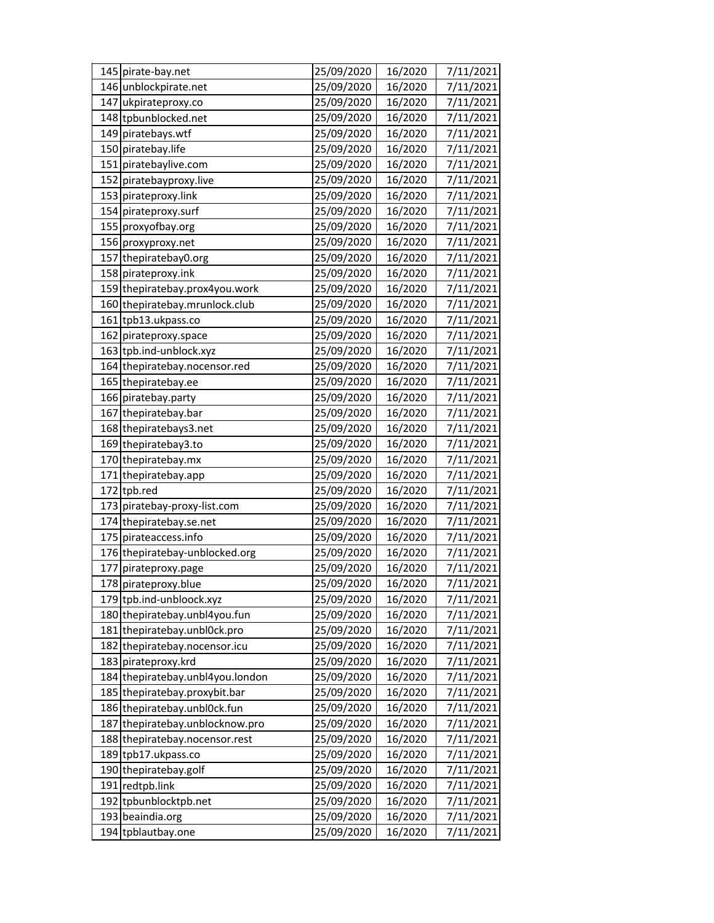|     | 145 pirate-bay.net               | 25/09/2020 | 16/2020 | 7/11/2021 |
|-----|----------------------------------|------------|---------|-----------|
| 146 | unblockpirate.net                | 25/09/2020 | 16/2020 | 7/11/2021 |
| 147 | ukpirateproxy.co                 | 25/09/2020 | 16/2020 | 7/11/2021 |
|     | 148 tpbunblocked.net             | 25/09/2020 | 16/2020 | 7/11/2021 |
| 149 | piratebays.wtf                   | 25/09/2020 | 16/2020 | 7/11/2021 |
|     | 150 piratebay.life               | 25/09/2020 | 16/2020 | 7/11/2021 |
| 151 | piratebaylive.com                | 25/09/2020 | 16/2020 | 7/11/2021 |
| 152 | piratebayproxy.live              | 25/09/2020 | 16/2020 | 7/11/2021 |
|     | 153 pirateproxy.link             | 25/09/2020 | 16/2020 | 7/11/2021 |
| 154 | pirateproxy.surf                 | 25/09/2020 | 16/2020 | 7/11/2021 |
| 155 | proxyofbay.org                   | 25/09/2020 | 16/2020 | 7/11/2021 |
|     | 156 proxyproxy.net               | 25/09/2020 | 16/2020 | 7/11/2021 |
|     | 157 thepiratebay0.org            | 25/09/2020 | 16/2020 | 7/11/2021 |
|     | 158 pirateproxy.ink              | 25/09/2020 | 16/2020 | 7/11/2021 |
|     | 159 thepiratebay.prox4you.work   | 25/09/2020 | 16/2020 | 7/11/2021 |
|     | 160 thepiratebay.mrunlock.club   | 25/09/2020 | 16/2020 | 7/11/2021 |
|     | 161 tpb13.ukpass.co              | 25/09/2020 | 16/2020 | 7/11/2021 |
| 162 | pirateproxy.space                | 25/09/2020 | 16/2020 | 7/11/2021 |
|     | 163 tpb.ind-unblock.xyz          | 25/09/2020 | 16/2020 | 7/11/2021 |
|     | 164 thepiratebay.nocensor.red    | 25/09/2020 | 16/2020 | 7/11/2021 |
|     | 165 thepiratebay.ee              | 25/09/2020 | 16/2020 | 7/11/2021 |
|     | 166 piratebay.party              | 25/09/2020 | 16/2020 | 7/11/2021 |
|     | 167 thepiratebay.bar             | 25/09/2020 | 16/2020 | 7/11/2021 |
|     | 168 thepiratebays3.net           | 25/09/2020 | 16/2020 | 7/11/2021 |
|     | 169 thepiratebay3.to             | 25/09/2020 | 16/2020 | 7/11/2021 |
|     | 170 thepiratebay.mx              | 25/09/2020 | 16/2020 | 7/11/2021 |
|     | 171 thepiratebay.app             | 25/09/2020 | 16/2020 | 7/11/2021 |
|     | 172 tpb.red                      | 25/09/2020 | 16/2020 | 7/11/2021 |
| 173 | piratebay-proxy-list.com         | 25/09/2020 | 16/2020 | 7/11/2021 |
|     | 174 thepiratebay.se.net          | 25/09/2020 | 16/2020 | 7/11/2021 |
| 175 | pirateaccess.info                | 25/09/2020 | 16/2020 | 7/11/2021 |
|     | 176 thepiratebay-unblocked.org   | 25/09/2020 | 16/2020 | 7/11/2021 |
| 177 | pirateproxy.page                 | 25/09/2020 | 16/2020 | 7/11/2021 |
|     | 178 pirateproxy.blue             | 25/09/2020 | 16/2020 | 7/11/2021 |
|     | 179 tpb.ind-unbloock.xyz         | 25/09/2020 | 16/2020 | 7/11/2021 |
|     | 180 thepiratebay.unbl4you.fun    | 25/09/2020 | 16/2020 | 7/11/2021 |
|     | 181 thepiratebay.unbl0ck.pro     | 25/09/2020 | 16/2020 | 7/11/2021 |
|     | 182 thepiratebay.nocensor.icu    | 25/09/2020 | 16/2020 | 7/11/2021 |
|     | 183 pirateproxy.krd              | 25/09/2020 | 16/2020 | 7/11/2021 |
|     | 184 thepiratebay.unbl4you.london | 25/09/2020 | 16/2020 | 7/11/2021 |
|     | 185 thepiratebay.proxybit.bar    | 25/09/2020 | 16/2020 | 7/11/2021 |
|     | 186 thepiratebay.unbl0ck.fun     | 25/09/2020 | 16/2020 | 7/11/2021 |
| 187 | thepiratebay.unblocknow.pro      | 25/09/2020 | 16/2020 | 7/11/2021 |
|     | 188 thepiratebay.nocensor.rest   | 25/09/2020 | 16/2020 | 7/11/2021 |
|     | 189 tpb17.ukpass.co              | 25/09/2020 | 16/2020 | 7/11/2021 |
|     | 190 thepiratebay.golf            | 25/09/2020 | 16/2020 | 7/11/2021 |
| 191 | redtpb.link                      | 25/09/2020 | 16/2020 | 7/11/2021 |
|     | 192 tpbunblocktpb.net            | 25/09/2020 | 16/2020 | 7/11/2021 |
| 193 | beaindia.org                     | 25/09/2020 | 16/2020 | 7/11/2021 |
|     | 194 tpblautbay.one               | 25/09/2020 | 16/2020 | 7/11/2021 |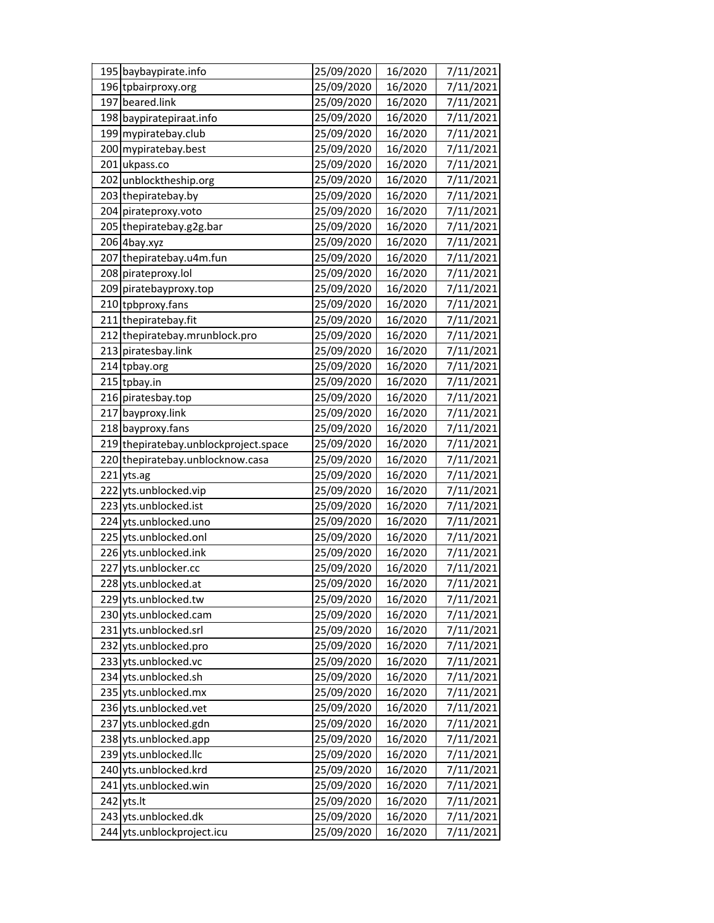|     | 195 baybaypirate.info                 | 25/09/2020 | 16/2020 | 7/11/2021 |
|-----|---------------------------------------|------------|---------|-----------|
|     | 196 tpbairproxy.org                   | 25/09/2020 | 16/2020 | 7/11/2021 |
|     | 197 beared.link                       | 25/09/2020 | 16/2020 | 7/11/2021 |
|     | 198 baypiratepiraat.info              | 25/09/2020 | 16/2020 | 7/11/2021 |
|     | 199 mypiratebay.club                  | 25/09/2020 | 16/2020 | 7/11/2021 |
|     | 200 mypiratebay.best                  | 25/09/2020 | 16/2020 | 7/11/2021 |
|     | 201 ukpass.co                         | 25/09/2020 | 16/2020 | 7/11/2021 |
|     | 202 unblocktheship.org                | 25/09/2020 | 16/2020 | 7/11/2021 |
|     | 203 thepiratebay.by                   | 25/09/2020 | 16/2020 | 7/11/2021 |
|     | 204 pirateproxy.voto                  | 25/09/2020 | 16/2020 | 7/11/2021 |
|     | 205 thepiratebay.g2g.bar              | 25/09/2020 | 16/2020 | 7/11/2021 |
|     | 206 4bay.xyz                          | 25/09/2020 | 16/2020 | 7/11/2021 |
|     | 207 thepiratebay.u4m.fun              | 25/09/2020 | 16/2020 | 7/11/2021 |
|     | 208 pirateproxy.lol                   | 25/09/2020 | 16/2020 | 7/11/2021 |
|     | 209 piratebayproxy.top                | 25/09/2020 | 16/2020 | 7/11/2021 |
|     | 210 tpbproxy.fans                     | 25/09/2020 | 16/2020 | 7/11/2021 |
|     | 211 thepiratebay.fit                  | 25/09/2020 | 16/2020 | 7/11/2021 |
|     | 212 thepiratebay.mrunblock.pro        | 25/09/2020 | 16/2020 | 7/11/2021 |
|     | 213 piratesbay.link                   | 25/09/2020 | 16/2020 | 7/11/2021 |
|     | 214 tpbay.org                         | 25/09/2020 | 16/2020 | 7/11/2021 |
|     | 215 tpbay.in                          | 25/09/2020 | 16/2020 | 7/11/2021 |
|     | 216 piratesbay.top                    | 25/09/2020 | 16/2020 | 7/11/2021 |
|     | 217 bayproxy.link                     | 25/09/2020 | 16/2020 | 7/11/2021 |
|     | 218 bayproxy.fans                     | 25/09/2020 | 16/2020 | 7/11/2021 |
|     | 219 thepiratebay.unblockproject.space | 25/09/2020 | 16/2020 | 7/11/2021 |
|     | 220 thepiratebay.unblocknow.casa      | 25/09/2020 | 16/2020 | 7/11/2021 |
|     | 221 yts.ag                            | 25/09/2020 | 16/2020 | 7/11/2021 |
|     | 222 yts.unblocked.vip                 | 25/09/2020 | 16/2020 | 7/11/2021 |
|     | 223 yts.unblocked.ist                 | 25/09/2020 | 16/2020 | 7/11/2021 |
|     | 224 yts.unblocked.uno                 | 25/09/2020 | 16/2020 | 7/11/2021 |
|     | 225 yts.unblocked.onl                 | 25/09/2020 | 16/2020 | 7/11/2021 |
|     | 226 yts.unblocked.ink                 | 25/09/2020 | 16/2020 | 7/11/2021 |
|     | 227 yts.unblocker.cc                  | 25/09/2020 | 16/2020 | 7/11/2021 |
|     | 228 yts.unblocked.at                  | 25/09/2020 | 16/2020 | 7/11/2021 |
|     | 229 yts.unblocked.tw                  | 25/09/2020 | 16/2020 | 7/11/2021 |
|     | 230 yts.unblocked.cam                 | 25/09/2020 | 16/2020 | 7/11/2021 |
|     | 231 yts.unblocked.srl                 | 25/09/2020 | 16/2020 | 7/11/2021 |
|     | 232 yts.unblocked.pro                 | 25/09/2020 | 16/2020 | 7/11/2021 |
|     | 233 yts.unblocked.vc                  | 25/09/2020 | 16/2020 | 7/11/2021 |
|     | 234 yts.unblocked.sh                  | 25/09/2020 | 16/2020 | 7/11/2021 |
|     | 235 yts.unblocked.mx                  | 25/09/2020 | 16/2020 | 7/11/2021 |
|     | 236 yts.unblocked.vet                 | 25/09/2020 | 16/2020 | 7/11/2021 |
|     | 237 yts.unblocked.gdn                 | 25/09/2020 | 16/2020 | 7/11/2021 |
|     | 238 yts.unblocked.app                 | 25/09/2020 | 16/2020 | 7/11/2021 |
|     | 239 yts.unblocked.llc                 | 25/09/2020 | 16/2020 | 7/11/2021 |
|     | 240 yts.unblocked.krd                 | 25/09/2020 | 16/2020 | 7/11/2021 |
| 241 | yts.unblocked.win                     | 25/09/2020 | 16/2020 | 7/11/2021 |
|     | 242 yts.lt                            | 25/09/2020 | 16/2020 | 7/11/2021 |
|     | 243 yts.unblocked.dk                  | 25/09/2020 | 16/2020 | 7/11/2021 |
|     | 244 yts.unblockproject.icu            | 25/09/2020 | 16/2020 | 7/11/2021 |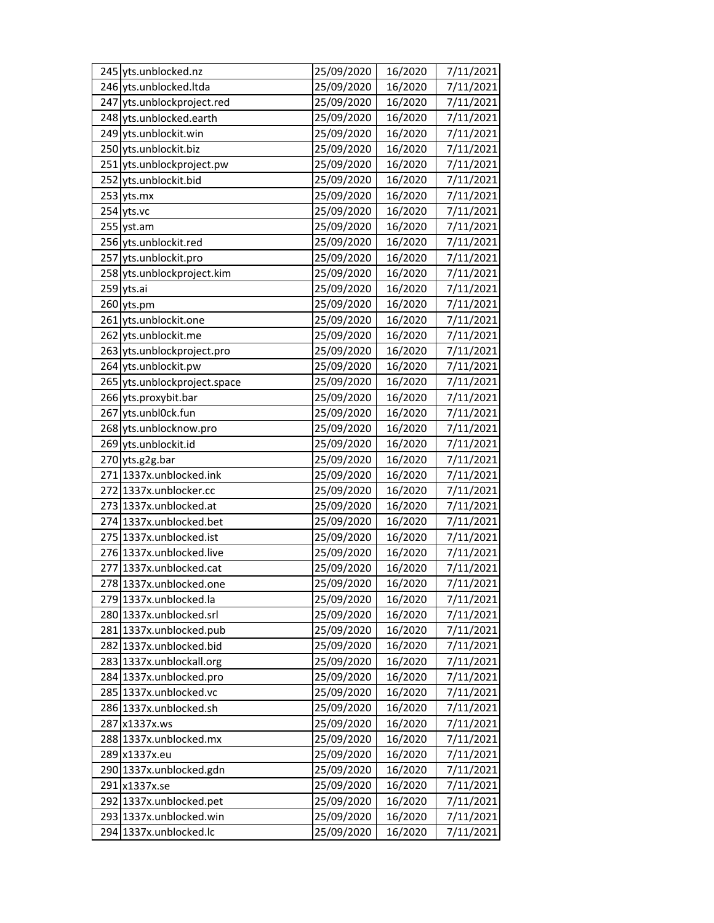|     | 245 yts.unblocked.nz         | 25/09/2020 | 16/2020 | 7/11/2021 |
|-----|------------------------------|------------|---------|-----------|
|     | 246 yts.unblocked.ltda       | 25/09/2020 | 16/2020 | 7/11/2021 |
| 247 | yts.unblockproject.red       | 25/09/2020 | 16/2020 | 7/11/2021 |
|     | 248 yts.unblocked.earth      | 25/09/2020 | 16/2020 | 7/11/2021 |
|     | 249 yts.unblockit.win        | 25/09/2020 | 16/2020 | 7/11/2021 |
|     | 250 yts.unblockit.biz        | 25/09/2020 | 16/2020 | 7/11/2021 |
|     | 251 yts.unblockproject.pw    | 25/09/2020 | 16/2020 | 7/11/2021 |
|     | 252 yts.unblockit.bid        | 25/09/2020 | 16/2020 | 7/11/2021 |
|     | 253 yts.mx                   | 25/09/2020 | 16/2020 | 7/11/2021 |
|     | 254 yts.vc                   | 25/09/2020 | 16/2020 | 7/11/2021 |
|     | 255 yst.am                   | 25/09/2020 | 16/2020 | 7/11/2021 |
|     | 256 yts.unblockit.red        | 25/09/2020 | 16/2020 | 7/11/2021 |
|     | 257 yts.unblockit.pro        | 25/09/2020 | 16/2020 | 7/11/2021 |
|     | 258 yts.unblockproject.kim   | 25/09/2020 | 16/2020 | 7/11/2021 |
|     | 259 yts.ai                   | 25/09/2020 | 16/2020 | 7/11/2021 |
|     | 260 yts.pm                   | 25/09/2020 | 16/2020 | 7/11/2021 |
|     | 261 yts.unblockit.one        | 25/09/2020 | 16/2020 | 7/11/2021 |
|     | 262 yts.unblockit.me         | 25/09/2020 | 16/2020 | 7/11/2021 |
|     | 263 yts.unblockproject.pro   | 25/09/2020 | 16/2020 | 7/11/2021 |
|     | 264 yts.unblockit.pw         | 25/09/2020 | 16/2020 | 7/11/2021 |
|     | 265 yts.unblockproject.space | 25/09/2020 | 16/2020 | 7/11/2021 |
|     | 266 yts.proxybit.bar         | 25/09/2020 | 16/2020 | 7/11/2021 |
|     | 267 yts.unbl0ck.fun          | 25/09/2020 | 16/2020 | 7/11/2021 |
|     | 268 yts.unblocknow.pro       | 25/09/2020 | 16/2020 | 7/11/2021 |
|     | 269 yts.unblockit.id         | 25/09/2020 | 16/2020 | 7/11/2021 |
|     | 270 yts.g2g.bar              | 25/09/2020 | 16/2020 | 7/11/2021 |
|     | 271 1337x.unblocked.ink      | 25/09/2020 | 16/2020 | 7/11/2021 |
|     | 272 1337x.unblocker.cc       | 25/09/2020 | 16/2020 | 7/11/2021 |
|     | 273 1337x.unblocked.at       | 25/09/2020 | 16/2020 | 7/11/2021 |
|     | 274 1337x.unblocked.bet      | 25/09/2020 | 16/2020 | 7/11/2021 |
|     | 275 1337x.unblocked.ist      | 25/09/2020 | 16/2020 | 7/11/2021 |
|     | 276 1337x.unblocked.live     | 25/09/2020 | 16/2020 | 7/11/2021 |
|     | 277 1337x.unblocked.cat      | 25/09/2020 | 16/2020 | 7/11/2021 |
|     | 278 1337x.unblocked.one      | 25/09/2020 | 16/2020 | 7/11/2021 |
|     | 279 1337x.unblocked.la       | 25/09/2020 | 16/2020 | 7/11/2021 |
|     | 280 1337x.unblocked.srl      | 25/09/2020 | 16/2020 | 7/11/2021 |
|     | 281 1337x.unblocked.pub      | 25/09/2020 | 16/2020 | 7/11/2021 |
|     | 282 1337x.unblocked.bid      | 25/09/2020 | 16/2020 | 7/11/2021 |
|     | 283 1337x.unblockall.org     | 25/09/2020 | 16/2020 | 7/11/2021 |
|     | 284 1337x.unblocked.pro      | 25/09/2020 | 16/2020 | 7/11/2021 |
|     | 285 1337x.unblocked.vc       | 25/09/2020 | 16/2020 | 7/11/2021 |
|     | 286 1337x.unblocked.sh       | 25/09/2020 | 16/2020 | 7/11/2021 |
|     | 287 x1337x.ws                | 25/09/2020 | 16/2020 | 7/11/2021 |
|     | 288 1337x.unblocked.mx       | 25/09/2020 | 16/2020 | 7/11/2021 |
|     | 289 x1337x.eu                | 25/09/2020 | 16/2020 | 7/11/2021 |
|     | 290 1337x.unblocked.gdn      | 25/09/2020 | 16/2020 | 7/11/2021 |
|     | 291 x1337x.se                | 25/09/2020 | 16/2020 | 7/11/2021 |
|     | 292 1337x.unblocked.pet      | 25/09/2020 | 16/2020 | 7/11/2021 |
|     | 293 1337x.unblocked.win      | 25/09/2020 | 16/2020 | 7/11/2021 |
|     | 294 1337x.unblocked.lc       | 25/09/2020 | 16/2020 | 7/11/2021 |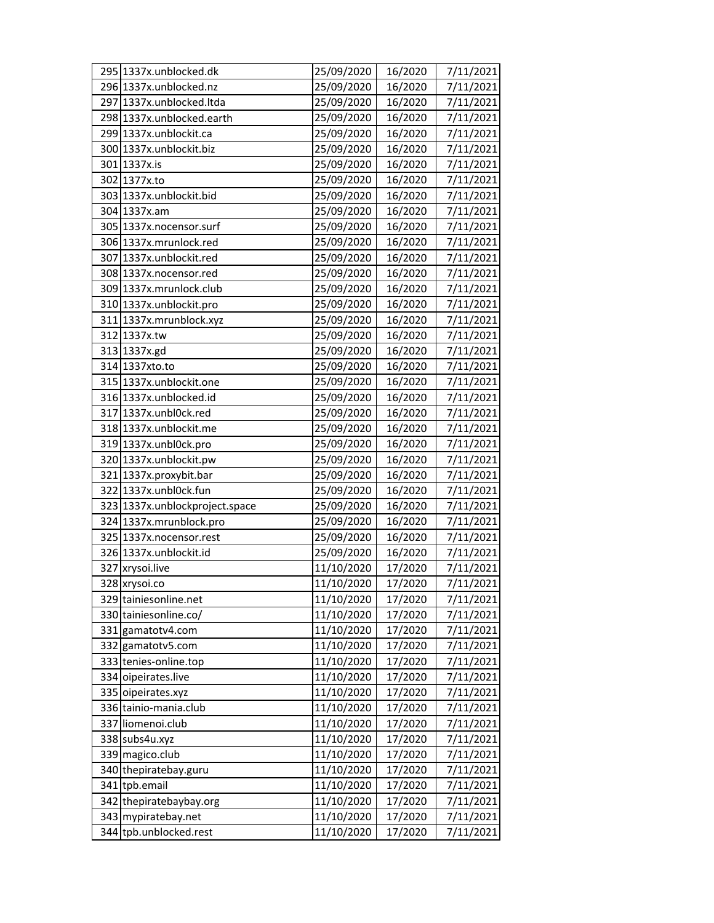|     | 295 1337x.unblocked.dk         | 25/09/2020 | 16/2020 | 7/11/2021 |
|-----|--------------------------------|------------|---------|-----------|
|     | 296 1337x.unblocked.nz         | 25/09/2020 | 16/2020 | 7/11/2021 |
| 297 | 1337x.unblocked.ltda           | 25/09/2020 | 16/2020 | 7/11/2021 |
|     | 298 1337x.unblocked.earth      | 25/09/2020 | 16/2020 | 7/11/2021 |
|     | 299 1337x.unblockit.ca         | 25/09/2020 | 16/2020 | 7/11/2021 |
|     | 300 1337x.unblockit.biz        | 25/09/2020 | 16/2020 | 7/11/2021 |
|     | 301 1337x.is                   | 25/09/2020 | 16/2020 | 7/11/2021 |
|     | 302 1377x.to                   | 25/09/2020 | 16/2020 | 7/11/2021 |
|     | 303 1337x.unblockit.bid        | 25/09/2020 | 16/2020 | 7/11/2021 |
|     | 304 1337x.am                   | 25/09/2020 | 16/2020 | 7/11/2021 |
|     | 305 1337x.nocensor.surf        | 25/09/2020 | 16/2020 | 7/11/2021 |
|     | 306 1337x.mrunlock.red         | 25/09/2020 | 16/2020 | 7/11/2021 |
|     | 307 1337x.unblockit.red        | 25/09/2020 | 16/2020 | 7/11/2021 |
|     | 308 1337x.nocensor.red         | 25/09/2020 | 16/2020 | 7/11/2021 |
|     | 309 1337x.mrunlock.club        | 25/09/2020 | 16/2020 | 7/11/2021 |
|     | 310 1337x.unblockit.pro        | 25/09/2020 | 16/2020 | 7/11/2021 |
|     | 311 1337x.mrunblock.xyz        | 25/09/2020 | 16/2020 | 7/11/2021 |
|     | 312 1337x.tw                   | 25/09/2020 | 16/2020 | 7/11/2021 |
|     | 313 1337x.gd                   | 25/09/2020 | 16/2020 | 7/11/2021 |
|     | 314 1337xto.to                 | 25/09/2020 | 16/2020 | 7/11/2021 |
|     | 315 1337x.unblockit.one        | 25/09/2020 | 16/2020 | 7/11/2021 |
|     | 316 1337x.unblocked.id         | 25/09/2020 | 16/2020 | 7/11/2021 |
| 317 | 1337x.unbl0ck.red              | 25/09/2020 | 16/2020 | 7/11/2021 |
|     | 318 1337x.unblockit.me         | 25/09/2020 | 16/2020 | 7/11/2021 |
|     | 319 1337x.unbl0ck.pro          | 25/09/2020 | 16/2020 | 7/11/2021 |
|     | 320 1337x.unblockit.pw         | 25/09/2020 | 16/2020 | 7/11/2021 |
|     | 321 1337x.proxybit.bar         | 25/09/2020 | 16/2020 | 7/11/2021 |
|     | 322 1337x.unbl0ck.fun          | 25/09/2020 | 16/2020 | 7/11/2021 |
|     | 323 1337x.unblockproject.space | 25/09/2020 | 16/2020 | 7/11/2021 |
|     | 324 1337x.mrunblock.pro        | 25/09/2020 | 16/2020 | 7/11/2021 |
|     | 325 1337x.nocensor.rest        | 25/09/2020 | 16/2020 | 7/11/2021 |
|     | 326 1337x.unblockit.id         | 25/09/2020 | 16/2020 | 7/11/2021 |
|     | 327 xrysoi.live                | 11/10/2020 | 17/2020 | 7/11/2021 |
|     | 328 xrysoi.co                  | 11/10/2020 | 17/2020 | 7/11/2021 |
|     | 329 tainiesonline.net          | 11/10/2020 | 17/2020 | 7/11/2021 |
|     | 330 tainiesonline.co/          | 11/10/2020 | 17/2020 | 7/11/2021 |
|     | 331 gamatotv4.com              | 11/10/2020 | 17/2020 | 7/11/2021 |
|     | 332 gamatotv5.com              | 11/10/2020 | 17/2020 | 7/11/2021 |
|     | 333 tenies-online.top          | 11/10/2020 | 17/2020 | 7/11/2021 |
|     | 334 oipeirates.live            | 11/10/2020 | 17/2020 | 7/11/2021 |
|     | 335 oipeirates.xyz             | 11/10/2020 | 17/2020 | 7/11/2021 |
|     | 336 tainio-mania.club          | 11/10/2020 | 17/2020 | 7/11/2021 |
|     | 337 liomenoi.club              | 11/10/2020 | 17/2020 | 7/11/2021 |
|     | 338 subs4u.xyz                 | 11/10/2020 | 17/2020 | 7/11/2021 |
|     | 339 magico.club                | 11/10/2020 | 17/2020 | 7/11/2021 |
|     | 340 thepiratebay.guru          | 11/10/2020 | 17/2020 | 7/11/2021 |
|     | 341 tpb.email                  | 11/10/2020 | 17/2020 | 7/11/2021 |
|     | 342 thepiratebaybay.org        | 11/10/2020 | 17/2020 | 7/11/2021 |
|     | 343 mypiratebay.net            | 11/10/2020 | 17/2020 | 7/11/2021 |
|     | 344 tpb.unblocked.rest         | 11/10/2020 | 17/2020 | 7/11/2021 |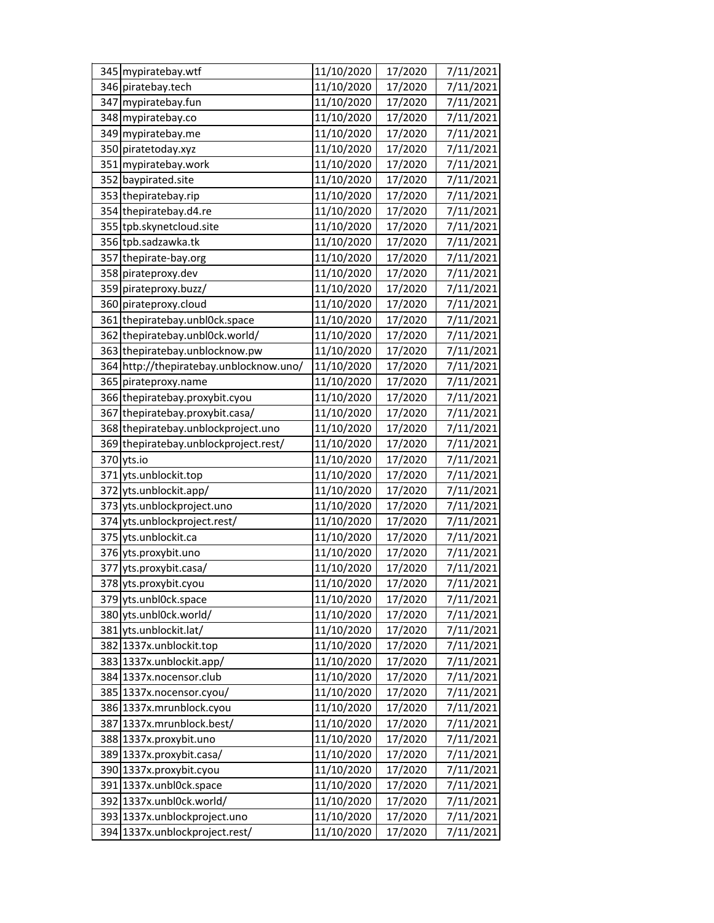|     | 345 mypiratebay.wtf                                            | 11/10/2020               | 17/2020            | 7/11/2021                                                                               |
|-----|----------------------------------------------------------------|--------------------------|--------------------|-----------------------------------------------------------------------------------------|
|     | 346 piratebay.tech                                             | 11/10/2020               | 17/2020            | 7/11/2021                                                                               |
|     | 347 mypiratebay.fun                                            | 11/10/2020               | 17/2020            | 7/11/2021                                                                               |
|     | 348 mypiratebay.co                                             | 11/10/2020               | 17/2020            | 7/11/2021                                                                               |
|     | 349 mypiratebay.me                                             | 11/10/2020               | 17/2020            | 7/11/2021                                                                               |
|     | 350 piratetoday.xyz                                            | 11/10/2020               | 17/2020            | 7/11/2021                                                                               |
|     | 351 mypiratebay.work                                           | 11/10/2020               | 17/2020            | 7/11/2021                                                                               |
|     | 352 baypirated.site                                            | 11/10/2020               | 17/2020            | 7/11/2021                                                                               |
|     | 353 thepiratebay.rip                                           | 11/10/2020               | 17/2020            | 7/11/2021                                                                               |
|     | 354 thepiratebay.d4.re                                         | 11/10/2020               | 17/2020            | 7/11/2021                                                                               |
|     | 355 tpb.skynetcloud.site                                       | 11/10/2020               | 17/2020            | 7/11/2021                                                                               |
|     | 356 tpb.sadzawka.tk                                            | 11/10/2020               | 17/2020            | 7/11/2021                                                                               |
|     | 357 thepirate-bay.org                                          | 11/10/2020               | 17/2020            | 7/11/2021                                                                               |
|     | 358 pirateproxy.dev                                            | 11/10/2020               | 17/2020            | 7/11/2021                                                                               |
|     | 359 pirateproxy.buzz/                                          | 11/10/2020               | 17/2020            | 7/11/2021                                                                               |
|     | 360 pirateproxy.cloud                                          | 11/10/2020               | 17/2020            | 7/11/2021                                                                               |
|     | 361 thepiratebay.unbl0ck.space                                 | 11/10/2020               | 17/2020            | 7/11/2021                                                                               |
|     | 362 thepiratebay.unbl0ck.world/                                | 11/10/2020               | 17/2020            | 7/11/2021                                                                               |
|     | 363 thepiratebay.unblocknow.pw                                 | 11/10/2020               | 17/2020            | 7/11/2021                                                                               |
|     | 364 http://thepiratebay.unblocknow.uno/                        | 11/10/2020               | 17/2020            | 7/11/2021                                                                               |
|     | 365 pirateproxy.name                                           | 11/10/2020               | 17/2020            | 7/11/2021                                                                               |
|     | 366 thepiratebay.proxybit.cyou                                 | 11/10/2020               | 17/2020            | 7/11/2021                                                                               |
|     | 367 thepiratebay.proxybit.casa/                                | 11/10/2020               | 17/2020            | 7/11/2021                                                                               |
|     | 368 thepiratebay.unblockproject.uno                            | 11/10/2020               | 17/2020            | 7/11/2021                                                                               |
|     |                                                                |                          |                    |                                                                                         |
|     | 369 thepiratebay.unblockproject.rest/                          | 11/10/2020               | 17/2020            | 7/11/2021                                                                               |
|     | 370 yts.io                                                     | 11/10/2020               | 17/2020            | 7/11/2021                                                                               |
|     | 371 yts.unblockit.top                                          | 11/10/2020               | 17/2020            | 7/11/2021                                                                               |
| 372 | yts.unblockit.app/                                             | 11/10/2020               | 17/2020            | 7/11/2021                                                                               |
| 373 | yts.unblockproject.uno                                         | 11/10/2020               | 17/2020            |                                                                                         |
|     | 374 yts.unblockproject.rest/                                   | 11/10/2020               | 17/2020            | 7/11/2021                                                                               |
|     | 375 yts.unblockit.ca                                           | 11/10/2020               | 17/2020            | 7/11/2021                                                                               |
|     | 376 yts.proxybit.uno                                           | 11/10/2020               | 17/2020            | 7/11/2021                                                                               |
|     | 377 yts.proxybit.casa/                                         | 11/10/2020               | 17/2020            | 7/11/2021                                                                               |
|     | 378 yts.proxybit.cyou                                          | 11/10/2020               | 17/2020            |                                                                                         |
|     | 379 yts.unbl0ck.space                                          | 11/10/2020               | 17/2020            | 7/11/2021                                                                               |
|     | 380 yts.unbl0ck.world/                                         | 11/10/2020               | 17/2020            | 7/11/2021                                                                               |
|     | 381 yts.unblockit.lat/                                         | 11/10/2020               | 17/2020            |                                                                                         |
|     | 382 1337x.unblockit.top                                        | 11/10/2020               | 17/2020            |                                                                                         |
|     | 383 1337x.unblockit.app/                                       | 11/10/2020               | 17/2020            | 7/11/2021                                                                               |
|     | 384 1337x.nocensor.club                                        | 11/10/2020               | 17/2020            | 7/11/2021                                                                               |
|     | 385 1337x.nocensor.cyou/                                       | 11/10/2020               | 17/2020            | 7/11/2021                                                                               |
|     | 386 1337x.mrunblock.cyou                                       | 11/10/2020               | 17/2020            | 7/11/2021                                                                               |
|     | 387 1337x.mrunblock.best/                                      | 11/10/2020               | 17/2020            | 7/11/2021                                                                               |
|     | 388 1337x.proxybit.uno                                         | 11/10/2020               | 17/2020            | 7/11/2021                                                                               |
|     | 389 1337x.proxybit.casa/                                       | 11/10/2020               | 17/2020            | 7/11/2021                                                                               |
|     | 390 1337x.proxybit.cyou                                        | 11/10/2020               | 17/2020            |                                                                                         |
|     | 391 1337x.unbl0ck.space                                        | 11/10/2020               | 17/2020            | 7/11/2021                                                                               |
|     | 392 1337x.unbl0ck.world/                                       | 11/10/2020               | 17/2020            | 7/11/2021                                                                               |
|     | 393 1337x.unblockproject.uno<br>394 1337x.unblockproject.rest/ | 11/10/2020<br>11/10/2020 | 17/2020<br>17/2020 | 7/11/2021<br>7/11/2021<br>7/11/2021<br>7/11/2021<br>7/11/2021<br>7/11/2021<br>7/11/2021 |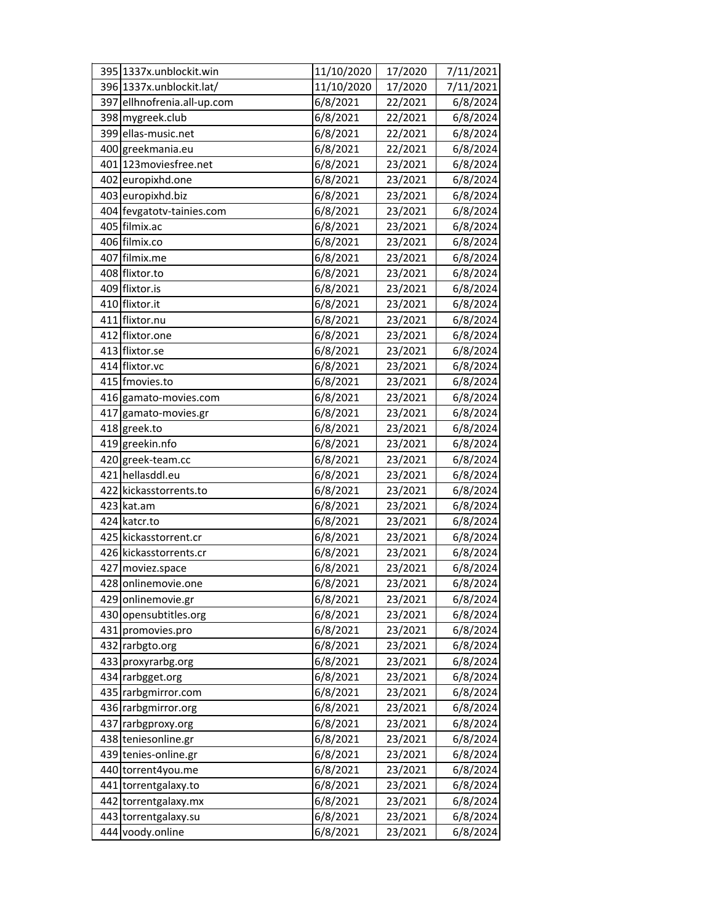| 395 1337x.unblockit.win     | 11/10/2020 | 17/2020 | 7/11/2021 |
|-----------------------------|------------|---------|-----------|
| 396 1337x.unblockit.lat/    | 11/10/2020 | 17/2020 | 7/11/2021 |
| 397 ellhnofrenia.all-up.com | 6/8/2021   | 22/2021 | 6/8/2024  |
| 398 mygreek.club            | 6/8/2021   | 22/2021 | 6/8/2024  |
| 399 ellas-music.net         | 6/8/2021   | 22/2021 | 6/8/2024  |
| 400 greekmania.eu           | 6/8/2021   | 22/2021 | 6/8/2024  |
| 401 123 movies free.net     | 6/8/2021   | 23/2021 | 6/8/2024  |
| 402 europixhd.one           | 6/8/2021   | 23/2021 | 6/8/2024  |
| 403 europixhd.biz           | 6/8/2021   | 23/2021 | 6/8/2024  |
| 404 fevgatotv-tainies.com   | 6/8/2021   | 23/2021 | 6/8/2024  |
| 405 filmix.ac               | 6/8/2021   | 23/2021 | 6/8/2024  |
| 406 filmix.co               | 6/8/2021   | 23/2021 | 6/8/2024  |
| 407 filmix.me               | 6/8/2021   | 23/2021 | 6/8/2024  |
| 408 flixtor.to              | 6/8/2021   | 23/2021 | 6/8/2024  |
| 409 flixtor.is              | 6/8/2021   | 23/2021 | 6/8/2024  |
| 410 flixtor.it              | 6/8/2021   | 23/2021 | 6/8/2024  |
| 411 flixtor.nu              | 6/8/2021   | 23/2021 | 6/8/2024  |
| 412 flixtor.one             | 6/8/2021   | 23/2021 | 6/8/2024  |
| 413 flixtor.se              | 6/8/2021   | 23/2021 | 6/8/2024  |
| 414 flixtor.vc              | 6/8/2021   | 23/2021 | 6/8/2024  |
| 415 fmovies.to              | 6/8/2021   | 23/2021 | 6/8/2024  |
| 416 gamato-movies.com       | 6/8/2021   | 23/2021 | 6/8/2024  |
| 417 gamato-movies.gr        | 6/8/2021   | 23/2021 | 6/8/2024  |
| 418 greek.to                | 6/8/2021   | 23/2021 | 6/8/2024  |
| 419 greekin.nfo             | 6/8/2021   | 23/2021 | 6/8/2024  |
| 420 greek-team.cc           | 6/8/2021   | 23/2021 | 6/8/2024  |
| 421 hellasddl.eu            | 6/8/2021   | 23/2021 | 6/8/2024  |
| 422 kickasstorrents.to      | 6/8/2021   | 23/2021 | 6/8/2024  |
| 423 kat.am                  | 6/8/2021   | 23/2021 | 6/8/2024  |
| 424 katcr.to                | 6/8/2021   | 23/2021 | 6/8/2024  |
| 425 kickasstorrent.cr       | 6/8/2021   | 23/2021 | 6/8/2024  |
| 426 kickasstorrents.cr      | 6/8/2021   | 23/2021 | 6/8/2024  |
| 427 moviez.space            | 6/8/2021   | 23/2021 | 6/8/2024  |
| 428 onlinemovie.one         | 6/8/2021   | 23/2021 | 6/8/2024  |
| 429 onlinemovie.gr          | 6/8/2021   | 23/2021 | 6/8/2024  |
| 430 opensubtitles.org       | 6/8/2021   | 23/2021 | 6/8/2024  |
| 431 promovies.pro           | 6/8/2021   | 23/2021 | 6/8/2024  |
| 432 rarbgto.org             | 6/8/2021   | 23/2021 | 6/8/2024  |
| 433 proxyrarbg.org          | 6/8/2021   | 23/2021 | 6/8/2024  |
| 434 rarbgget.org            | 6/8/2021   | 23/2021 | 6/8/2024  |
| 435 rarbgmirror.com         | 6/8/2021   | 23/2021 | 6/8/2024  |
| 436 rarbgmirror.org         | 6/8/2021   | 23/2021 | 6/8/2024  |
| 437 rarbgproxy.org          | 6/8/2021   | 23/2021 | 6/8/2024  |
| 438 teniesonline.gr         | 6/8/2021   | 23/2021 | 6/8/2024  |
| 439 tenies-online.gr        | 6/8/2021   | 23/2021 | 6/8/2024  |
| 440 torrent4you.me          | 6/8/2021   | 23/2021 | 6/8/2024  |
| 441 torrentgalaxy.to        | 6/8/2021   | 23/2021 | 6/8/2024  |
| 442 torrentgalaxy.mx        | 6/8/2021   | 23/2021 | 6/8/2024  |
| 443 torrentgalaxy.su        | 6/8/2021   | 23/2021 | 6/8/2024  |
| 444 voody.online            | 6/8/2021   | 23/2021 | 6/8/2024  |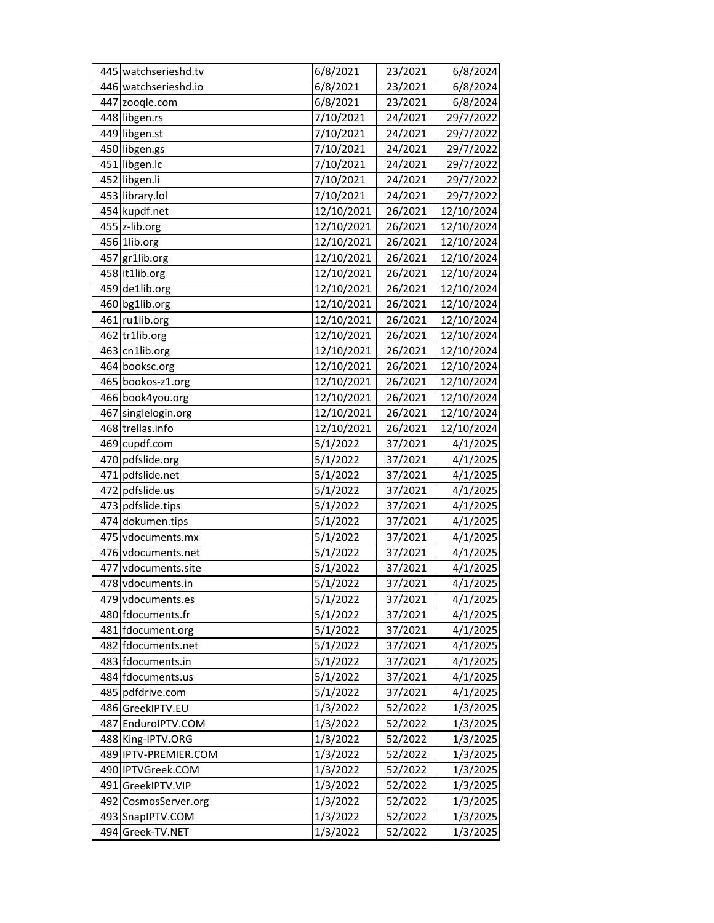|     | 445 watchserieshd.tv | 6/8/2021   | 23/2021 | 6/8/2024   |
|-----|----------------------|------------|---------|------------|
|     | 446 watchserieshd.io | 6/8/2021   | 23/2021 | 6/8/2024   |
|     | 447 zoogle.com       | 6/8/2021   | 23/2021 | 6/8/2024   |
|     | 448 libgen.rs        | 7/10/2021  | 24/2021 | 29/7/2022  |
|     | 449 libgen.st        | 7/10/2021  | 24/2021 | 29/7/2022  |
|     | 450 libgen.gs        | 7/10/2021  | 24/2021 | 29/7/2022  |
|     | 451 libgen.lc        | 7/10/2021  | 24/2021 | 29/7/2022  |
|     | 452 libgen.li        | 7/10/2021  | 24/2021 | 29/7/2022  |
|     | 453 library.lol      | 7/10/2021  | 24/2021 | 29/7/2022  |
|     | 454 kupdf.net        | 12/10/2021 | 26/2021 | 12/10/2024 |
|     | 455 z-lib.org        | 12/10/2021 | 26/2021 | 12/10/2024 |
|     | 456 1lib.org         | 12/10/2021 | 26/2021 | 12/10/2024 |
|     | 457 gr1lib.org       | 12/10/2021 | 26/2021 | 12/10/2024 |
|     | 458 it1lib.org       | 12/10/2021 | 26/2021 | 12/10/2024 |
|     | 459 de1lib.org       | 12/10/2021 | 26/2021 | 12/10/2024 |
|     | 460 bg1lib.org       | 12/10/2021 | 26/2021 | 12/10/2024 |
|     | 461 ru1lib.org       | 12/10/2021 | 26/2021 | 12/10/2024 |
|     | 462 tr1lib.org       | 12/10/2021 | 26/2021 | 12/10/2024 |
|     | 463 cn1lib.org       | 12/10/2021 | 26/2021 | 12/10/2024 |
|     | 464 booksc.org       | 12/10/2021 | 26/2021 | 12/10/2024 |
|     | 465 bookos-z1.org    | 12/10/2021 | 26/2021 | 12/10/2024 |
|     | 466 book4you.org     | 12/10/2021 | 26/2021 | 12/10/2024 |
|     | 467 singlelogin.org  | 12/10/2021 | 26/2021 | 12/10/2024 |
|     | 468 trellas.info     | 12/10/2021 | 26/2021 | 12/10/2024 |
|     | 469 cupdf.com        | 5/1/2022   | 37/2021 | 4/1/2025   |
|     | 470 pdfslide.org     | 5/1/2022   | 37/2021 | 4/1/2025   |
|     | 471 pdfslide.net     | 5/1/2022   | 37/2021 | 4/1/2025   |
| 472 | pdfslide.us          | 5/1/2022   | 37/2021 | 4/1/2025   |
| 473 | pdfslide.tips        | 5/1/2022   | 37/2021 | 4/1/2025   |
|     | 474 dokumen.tips     | 5/1/2022   | 37/2021 | 4/1/2025   |
| 475 | vdocuments.mx        | 5/1/2022   | 37/2021 | 4/1/2025   |
|     | 476 vdocuments.net   | 5/1/2022   | 37/2021 | 4/1/2025   |
| 477 | vdocuments.site      | 5/1/2022   | 37/2021 | 4/1/2025   |
|     | 478 vdocuments.in    | 5/1/2022   | 37/2021 | 4/1/2025   |
|     | 479 vdocuments.es    | 5/1/2022   | 37/2021 | 4/1/2025   |
|     | 480 fdocuments.fr    | 5/1/2022   | 37/2021 | 4/1/2025   |
|     | 481 fdocument.org    | 5/1/2022   | 37/2021 | 4/1/2025   |
|     | 482 fdocuments.net   | 5/1/2022   | 37/2021 | 4/1/2025   |
|     | 483 fdocuments.in    | 5/1/2022   | 37/2021 | 4/1/2025   |
|     | 484 fdocuments.us    | 5/1/2022   | 37/2021 | 4/1/2025   |
|     | 485 pdfdrive.com     | 5/1/2022   | 37/2021 | 4/1/2025   |
|     | 486 GreekIPTV.EU     | 1/3/2022   | 52/2022 | 1/3/2025   |
| 487 | EnduroIPTV.COM       | 1/3/2022   | 52/2022 | 1/3/2025   |
|     | 488 King-IPTV.ORG    | 1/3/2022   | 52/2022 | 1/3/2025   |
|     | 489 IPTV-PREMIER.COM | 1/3/2022   | 52/2022 | 1/3/2025   |
|     | 490 IPTVGreek.COM    | 1/3/2022   | 52/2022 | 1/3/2025   |
|     | 491 GreekIPTV.VIP    | 1/3/2022   | 52/2022 | 1/3/2025   |
| 492 | CosmosServer.org     | 1/3/2022   | 52/2022 | 1/3/2025   |
| 493 | SnapIPTV.COM         | 1/3/2022   | 52/2022 | 1/3/2025   |
| 494 | Greek-TV.NET         | 1/3/2022   | 52/2022 | 1/3/2025   |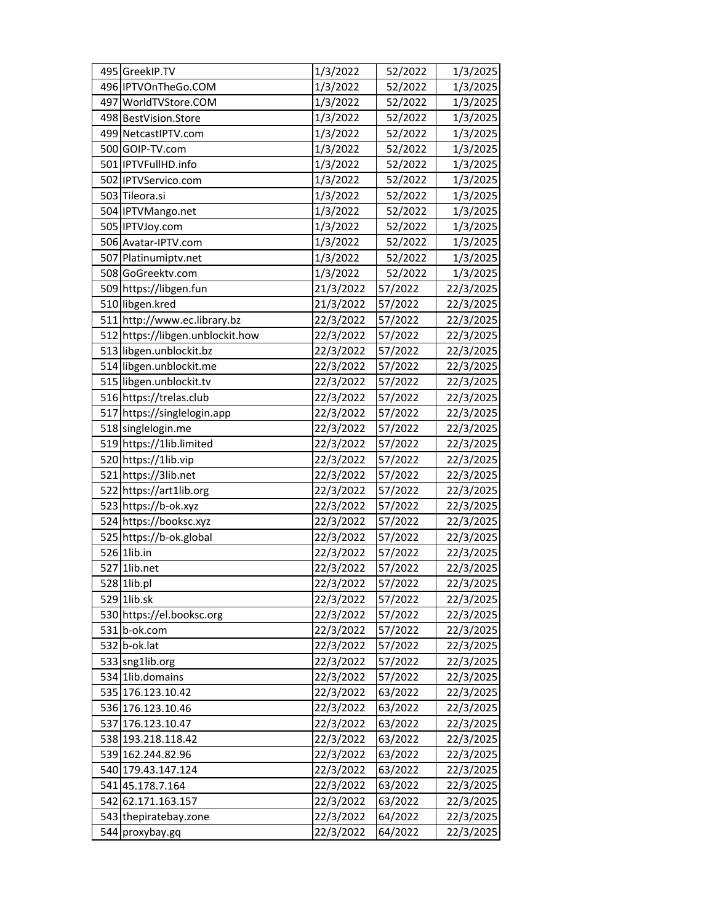| 495 GreekIP.TV                   | 1/3/2022  | 52/2022 | 1/3/2025  |
|----------------------------------|-----------|---------|-----------|
| 496 IPTVOnTheGo.COM              | 1/3/2022  | 52/2022 | 1/3/2025  |
| 497 WorldTVStore.COM             | 1/3/2022  | 52/2022 | 1/3/2025  |
| 498 BestVision.Store             | 1/3/2022  | 52/2022 | 1/3/2025  |
| 499 NetcastIPTV.com              | 1/3/2022  | 52/2022 | 1/3/2025  |
| 500 GOIP-TV.com                  | 1/3/2022  | 52/2022 | 1/3/2025  |
| 501 IPTVFullHD.info              | 1/3/2022  | 52/2022 | 1/3/2025  |
| 502 IPTVServico.com              | 1/3/2022  | 52/2022 | 1/3/2025  |
| 503 Tileora.si                   | 1/3/2022  | 52/2022 | 1/3/2025  |
| 504 IPTVMango.net                | 1/3/2022  | 52/2022 | 1/3/2025  |
| 505 IPTVJoy.com                  | 1/3/2022  | 52/2022 | 1/3/2025  |
| 506 Avatar-IPTV.com              | 1/3/2022  | 52/2022 | 1/3/2025  |
| 507 Platinumiptv.net             | 1/3/2022  | 52/2022 | 1/3/2025  |
| 508 GoGreektv.com                | 1/3/2022  | 52/2022 | 1/3/2025  |
| 509 https://libgen.fun           | 21/3/2022 | 57/2022 | 22/3/2025 |
| 510 libgen.kred                  | 21/3/2022 | 57/2022 | 22/3/2025 |
| 511 http://www.ec.library.bz     | 22/3/2022 | 57/2022 | 22/3/2025 |
| 512 https://libgen.unblockit.how | 22/3/2022 | 57/2022 | 22/3/2025 |
| 513 libgen.unblockit.bz          | 22/3/2022 | 57/2022 | 22/3/2025 |
| 514 libgen.unblockit.me          | 22/3/2022 | 57/2022 | 22/3/2025 |
| 515 libgen.unblockit.tv          | 22/3/2022 | 57/2022 | 22/3/2025 |
| 516 https://trelas.club          | 22/3/2022 | 57/2022 | 22/3/2025 |
| 517 https://singlelogin.app      | 22/3/2022 | 57/2022 | 22/3/2025 |
| 518 singlelogin.me               | 22/3/2022 | 57/2022 | 22/3/2025 |
| 519 https://1lib.limited         | 22/3/2022 | 57/2022 | 22/3/2025 |
| 520 https://1lib.vip             | 22/3/2022 | 57/2022 | 22/3/2025 |
| 521 https://3lib.net             | 22/3/2022 | 57/2022 | 22/3/2025 |
| 522 https://art1lib.org          | 22/3/2022 | 57/2022 | 22/3/2025 |
| 523 https://b-ok.xyz             | 22/3/2022 | 57/2022 | 22/3/2025 |
| 524 https://booksc.xyz           | 22/3/2022 | 57/2022 | 22/3/2025 |
| 525 https://b-ok.global          | 22/3/2022 | 57/2022 | 22/3/2025 |
| 526 1lib.in                      | 22/3/2022 | 57/2022 | 22/3/2025 |
| 527 1lib.net                     | 22/3/2022 | 57/2022 | 22/3/2025 |
| 528 1lib.pl                      | 22/3/2022 | 57/2022 | 22/3/2025 |
| 529 1lib.sk                      | 22/3/2022 | 57/2022 | 22/3/2025 |
| 530 https://el.booksc.org        | 22/3/2022 | 57/2022 | 22/3/2025 |
| 531 b-ok.com                     | 22/3/2022 | 57/2022 | 22/3/2025 |
| 532 b-ok.lat                     | 22/3/2022 | 57/2022 | 22/3/2025 |
| 533 sng1lib.org                  | 22/3/2022 | 57/2022 | 22/3/2025 |
| 534 1lib.domains                 | 22/3/2022 | 57/2022 | 22/3/2025 |
| 535 176.123.10.42                | 22/3/2022 | 63/2022 | 22/3/2025 |
| 536 176.123.10.46                | 22/3/2022 | 63/2022 | 22/3/2025 |
| 537 176.123.10.47                | 22/3/2022 | 63/2022 | 22/3/2025 |
| 538 193.218.118.42               | 22/3/2022 | 63/2022 | 22/3/2025 |
| 539 162.244.82.96                | 22/3/2022 | 63/2022 | 22/3/2025 |
| 540 179.43.147.124               | 22/3/2022 | 63/2022 | 22/3/2025 |
| 541 45.178.7.164                 | 22/3/2022 | 63/2022 | 22/3/2025 |
| 542 62.171.163.157               | 22/3/2022 | 63/2022 | 22/3/2025 |
| 543 thepiratebay.zone            | 22/3/2022 | 64/2022 | 22/3/2025 |
| 544 proxybay.gq                  | 22/3/2022 | 64/2022 | 22/3/2025 |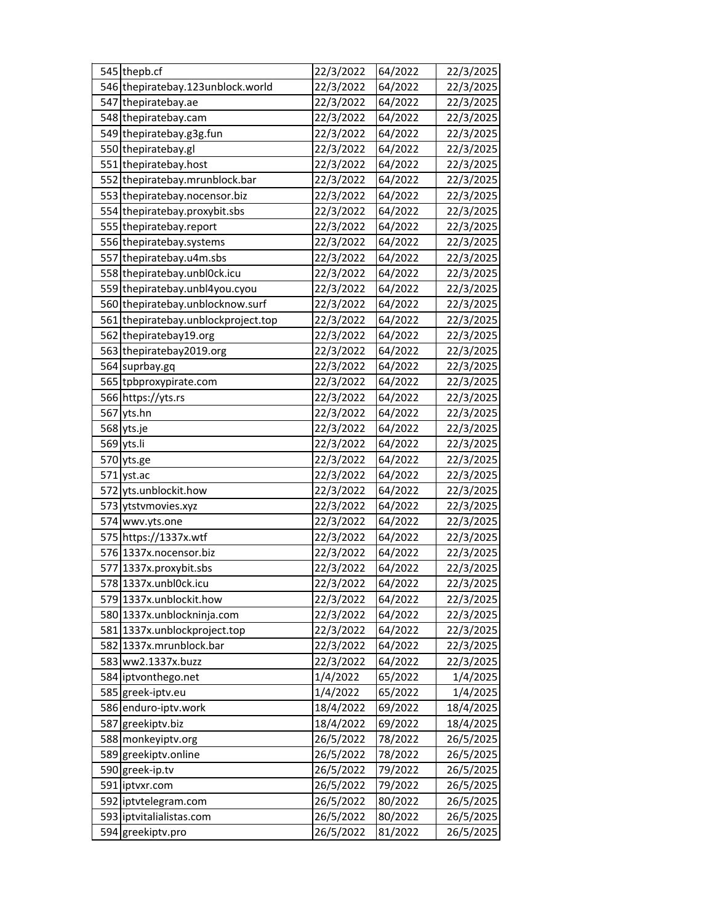|     | 545 thepb.cf                        | 22/3/2022 | 64/2022 | 22/3/2025 |
|-----|-------------------------------------|-----------|---------|-----------|
|     | 546 thepiratebay.123unblock.world   | 22/3/2022 | 64/2022 | 22/3/2025 |
|     | 547 thepiratebay.ae                 | 22/3/2022 | 64/2022 | 22/3/2025 |
|     | 548 thepiratebay.cam                | 22/3/2022 | 64/2022 | 22/3/2025 |
|     | 549 thepiratebay.g3g.fun            | 22/3/2022 | 64/2022 | 22/3/2025 |
|     | 550 thepiratebay.gl                 | 22/3/2022 | 64/2022 | 22/3/2025 |
|     | 551 thepiratebay.host               | 22/3/2022 | 64/2022 | 22/3/2025 |
|     | 552 thepiratebay.mrunblock.bar      | 22/3/2022 | 64/2022 | 22/3/2025 |
|     | 553 thepiratebay.nocensor.biz       | 22/3/2022 | 64/2022 | 22/3/2025 |
|     | 554 thepiratebay.proxybit.sbs       | 22/3/2022 | 64/2022 | 22/3/2025 |
|     | 555 thepiratebay.report             | 22/3/2022 | 64/2022 | 22/3/2025 |
|     | 556 thepiratebay.systems            | 22/3/2022 | 64/2022 | 22/3/2025 |
|     | 557 thepiratebay.u4m.sbs            | 22/3/2022 | 64/2022 | 22/3/2025 |
|     | 558 thepiratebay.unbl0ck.icu        | 22/3/2022 | 64/2022 | 22/3/2025 |
|     | 559 thepiratebay.unbl4you.cyou      | 22/3/2022 | 64/2022 | 22/3/2025 |
|     | 560 thepiratebay.unblocknow.surf    | 22/3/2022 | 64/2022 | 22/3/2025 |
|     | 561 thepiratebay.unblockproject.top | 22/3/2022 | 64/2022 | 22/3/2025 |
|     | 562 thepiratebay19.org              | 22/3/2022 | 64/2022 | 22/3/2025 |
|     | 563 thepiratebay2019.org            | 22/3/2022 | 64/2022 | 22/3/2025 |
|     | 564 suprbay.gq                      | 22/3/2022 | 64/2022 | 22/3/2025 |
|     | 565 tpbproxypirate.com              | 22/3/2022 | 64/2022 | 22/3/2025 |
|     | 566 https://yts.rs                  | 22/3/2022 | 64/2022 | 22/3/2025 |
|     | 567 yts.hn                          | 22/3/2022 | 64/2022 | 22/3/2025 |
|     | 568 yts.je                          | 22/3/2022 | 64/2022 | 22/3/2025 |
|     | 569 yts.li                          | 22/3/2022 | 64/2022 | 22/3/2025 |
|     | 570 yts.ge                          | 22/3/2022 | 64/2022 | 22/3/2025 |
|     | 571 yst.ac                          | 22/3/2022 | 64/2022 | 22/3/2025 |
| 572 | yts.unblockit.how                   | 22/3/2022 | 64/2022 | 22/3/2025 |
|     | 573 ytstvmovies.xyz                 | 22/3/2022 | 64/2022 | 22/3/2025 |
|     | 574 wwv.yts.one                     | 22/3/2022 | 64/2022 | 22/3/2025 |
|     | 575 https://1337x.wtf               | 22/3/2022 | 64/2022 | 22/3/2025 |
|     | 576 1337x.nocensor.biz              | 22/3/2022 | 64/2022 | 22/3/2025 |
|     | 577 1337x.proxybit.sbs              | 22/3/2022 | 64/2022 | 22/3/2025 |
|     | 578 1337x.unbl0ck.icu               | 22/3/2022 | 64/2022 | 22/3/2025 |
|     | 579 1337x.unblockit.how             | 22/3/2022 | 64/2022 | 22/3/2025 |
|     | 580 1337x.unblockninja.com          | 22/3/2022 | 64/2022 | 22/3/2025 |
|     | 581 1337x.unblockproject.top        | 22/3/2022 | 64/2022 | 22/3/2025 |
|     | 582 1337x.mrunblock.bar             | 22/3/2022 | 64/2022 | 22/3/2025 |
|     | 583 ww2.1337x.buzz                  | 22/3/2022 | 64/2022 | 22/3/2025 |
|     | 584 iptvonthego.net                 | 1/4/2022  | 65/2022 | 1/4/2025  |
|     | 585 greek-iptv.eu                   | 1/4/2022  | 65/2022 | 1/4/2025  |
|     | 586 enduro-iptv.work                | 18/4/2022 | 69/2022 | 18/4/2025 |
|     | 587 greekiptv.biz                   | 18/4/2022 | 69/2022 | 18/4/2025 |
|     | 588 monkeyiptv.org                  | 26/5/2022 | 78/2022 | 26/5/2025 |
|     | 589 greekiptv.online                | 26/5/2022 | 78/2022 | 26/5/2025 |
|     | 590 greek-ip.tv                     | 26/5/2022 | 79/2022 | 26/5/2025 |
|     | 591 iptvxr.com                      | 26/5/2022 | 79/2022 | 26/5/2025 |
|     | 592 iptvtelegram.com                | 26/5/2022 | 80/2022 | 26/5/2025 |
|     | 593 iptvitalialistas.com            | 26/5/2022 | 80/2022 | 26/5/2025 |
|     | 594 greekiptv.pro                   | 26/5/2022 | 81/2022 | 26/5/2025 |